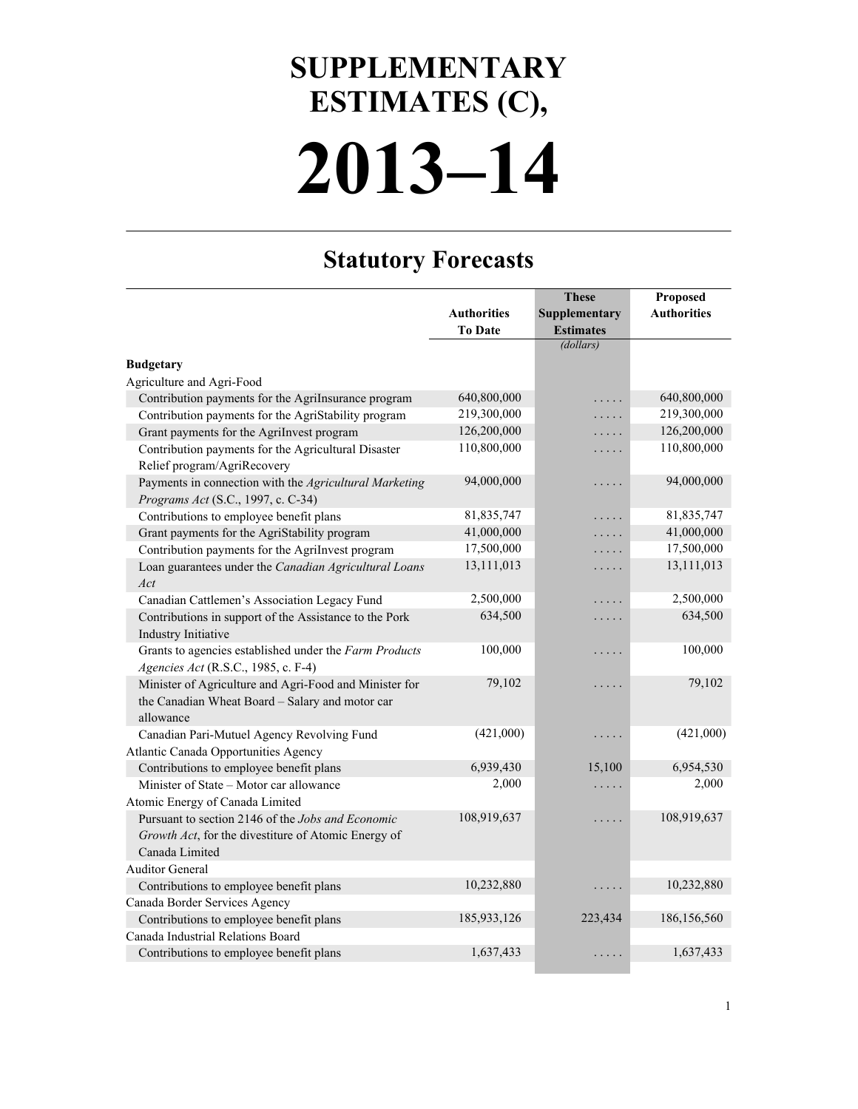## **2013–14 SUPPLEMENTARY ESTIMATES (C),**

## **Statutory Forecasts**

|                                                        |                    | <b>These</b>     | Proposed           |
|--------------------------------------------------------|--------------------|------------------|--------------------|
|                                                        | <b>Authorities</b> | Supplementary    | <b>Authorities</b> |
|                                                        | <b>To Date</b>     | <b>Estimates</b> |                    |
|                                                        |                    | (dollars)        |                    |
| <b>Budgetary</b>                                       |                    |                  |                    |
| Agriculture and Agri-Food                              |                    |                  |                    |
| Contribution payments for the AgriInsurance program    | 640,800,000        | .                | 640,800,000        |
| Contribution payments for the AgriStability program    | 219,300,000        | .                | 219,300,000        |
| Grant payments for the AgriInvest program              | 126,200,000        | .                | 126,200,000        |
| Contribution payments for the Agricultural Disaster    | 110,800,000        | .                | 110,800,000        |
| Relief program/AgriRecovery                            |                    |                  |                    |
| Payments in connection with the Agricultural Marketing | 94,000,000         | .                | 94,000,000         |
| Programs Act (S.C., 1997, c. C-34)                     |                    |                  |                    |
| Contributions to employee benefit plans                | 81,835,747         | $\ldots$ .       | 81,835,747         |
| Grant payments for the AgriStability program           | 41,000,000         | .                | 41,000,000         |
| Contribution payments for the AgriInvest program       | 17,500,000         | .                | 17,500,000         |
| Loan guarantees under the Canadian Agricultural Loans  | 13,111,013         | .                | 13,111,013         |
| Act                                                    |                    |                  |                    |
| Canadian Cattlemen's Association Legacy Fund           | 2,500,000          | .                | 2,500,000          |
| Contributions in support of the Assistance to the Pork | 634,500            | .                | 634,500            |
| Industry Initiative                                    |                    |                  |                    |
| Grants to agencies established under the Farm Products | 100,000            | .                | 100,000            |
| Agencies Act (R.S.C., 1985, c. F-4)                    |                    |                  |                    |
| Minister of Agriculture and Agri-Food and Minister for | 79,102             | .                | 79,102             |
| the Canadian Wheat Board - Salary and motor car        |                    |                  |                    |
| allowance                                              |                    |                  |                    |
| Canadian Pari-Mutuel Agency Revolving Fund             | (421,000)          | .                | (421,000)          |
| Atlantic Canada Opportunities Agency                   |                    |                  |                    |
| Contributions to employee benefit plans                | 6,939,430          | 15,100           | 6,954,530          |
| Minister of State - Motor car allowance                | 2,000              | $\ldots$ .       | 2,000              |
| Atomic Energy of Canada Limited                        |                    |                  |                    |
| Pursuant to section 2146 of the Jobs and Economic      | 108,919,637        | .                | 108,919,637        |
| Growth Act, for the divestiture of Atomic Energy of    |                    |                  |                    |
| Canada Limited                                         |                    |                  |                    |
| <b>Auditor General</b>                                 |                    |                  |                    |
| Contributions to employee benefit plans                | 10,232,880         | .                | 10,232,880         |
| Canada Border Services Agency                          |                    |                  |                    |
| Contributions to employee benefit plans                | 185,933,126        | 223,434          | 186,156,560        |
| Canada Industrial Relations Board                      |                    |                  |                    |
| Contributions to employee benefit plans                | 1,637,433          | $\cdots$         | 1,637,433          |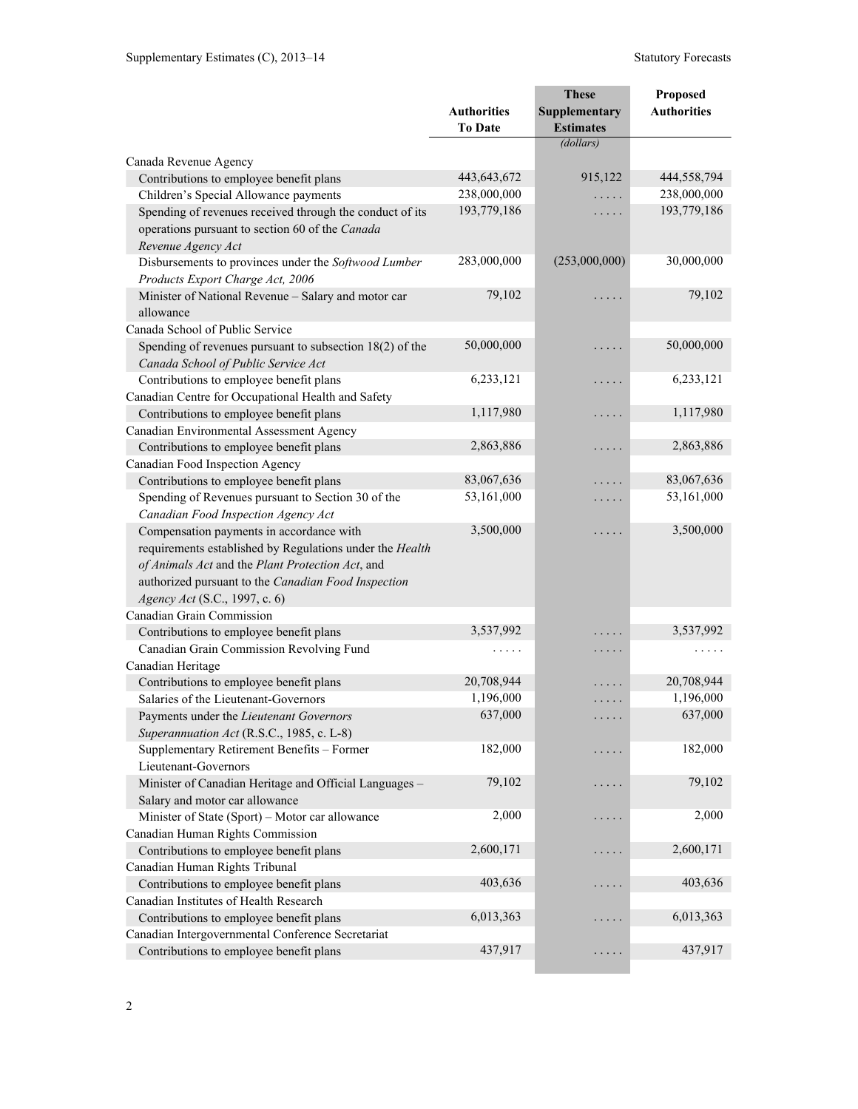|                                                            |                                      | <b>These</b>                      | Proposed           |
|------------------------------------------------------------|--------------------------------------|-----------------------------------|--------------------|
|                                                            | <b>Authorities</b><br><b>To Date</b> | Supplementary<br><b>Estimates</b> | <b>Authorities</b> |
|                                                            |                                      | (dollars)                         |                    |
| Canada Revenue Agency                                      |                                      |                                   |                    |
| Contributions to employee benefit plans                    | 443,643,672                          | 915,122                           | 444,558,794        |
| Children's Special Allowance payments                      | 238,000,000                          | .                                 | 238,000,000        |
| Spending of revenues received through the conduct of its   | 193,779,186                          | .                                 | 193,779,186        |
| operations pursuant to section 60 of the Canada            |                                      |                                   |                    |
| Revenue Agency Act                                         |                                      |                                   |                    |
| Disbursements to provinces under the Softwood Lumber       | 283,000,000                          | (253,000,000)                     | 30,000,000         |
| Products Export Charge Act, 2006                           |                                      |                                   |                    |
| Minister of National Revenue - Salary and motor car        | 79,102                               | .                                 | 79,102             |
| allowance                                                  |                                      |                                   |                    |
| Canada School of Public Service                            |                                      |                                   |                    |
| Spending of revenues pursuant to subsection $18(2)$ of the | 50,000,000                           | .                                 | 50,000,000         |
| Canada School of Public Service Act                        |                                      |                                   |                    |
| Contributions to employee benefit plans                    | 6,233,121                            | .                                 | 6,233,121          |
| Canadian Centre for Occupational Health and Safety         |                                      |                                   |                    |
| Contributions to employee benefit plans                    | 1,117,980                            | .                                 | 1,117,980          |
| Canadian Environmental Assessment Agency                   |                                      |                                   |                    |
| Contributions to employee benefit plans                    | 2,863,886                            | .                                 | 2,863,886          |
| Canadian Food Inspection Agency                            |                                      |                                   |                    |
| Contributions to employee benefit plans                    | 83,067,636                           | .                                 | 83,067,636         |
| Spending of Revenues pursuant to Section 30 of the         | 53,161,000                           | $\cdots$                          | 53,161,000         |
| Canadian Food Inspection Agency Act                        |                                      |                                   |                    |
| Compensation payments in accordance with                   | 3,500,000                            | .                                 | 3,500,000          |
| requirements established by Regulations under the Health   |                                      |                                   |                    |
| of Animals Act and the Plant Protection Act, and           |                                      |                                   |                    |
| authorized pursuant to the Canadian Food Inspection        |                                      |                                   |                    |
| Agency Act (S.C., 1997, c. 6)                              |                                      |                                   |                    |
| Canadian Grain Commission                                  |                                      |                                   |                    |
| Contributions to employee benefit plans                    | 3,537,992                            |                                   | 3,537,992          |
| Canadian Grain Commission Revolving Fund                   | .                                    | $\cdots\cdots\cdots$              | .                  |
| Canadian Heritage                                          |                                      |                                   |                    |
| Contributions to employee benefit plans                    | 20,708,944                           | .                                 | 20,708,944         |
| Salaries of the Lieutenant-Governors                       | 1,196,000                            | .                                 | 1,196,000          |
| Payments under the Lieutenant Governors                    | 637,000                              |                                   | 637,000            |
| Superannuation Act (R.S.C., 1985, c. L-8)                  |                                      |                                   |                    |
| Supplementary Retirement Benefits - Former                 | 182,000                              | .                                 | 182,000            |
| Lieutenant-Governors                                       |                                      |                                   |                    |
| Minister of Canadian Heritage and Official Languages -     | 79,102                               | .                                 | 79,102             |
| Salary and motor car allowance                             |                                      |                                   |                    |
| Minister of State (Sport) - Motor car allowance            | 2,000                                | .                                 | 2,000              |
| Canadian Human Rights Commission                           |                                      |                                   |                    |
| Contributions to employee benefit plans                    | 2,600,171                            | .                                 | 2,600,171          |
| Canadian Human Rights Tribunal                             |                                      |                                   |                    |
| Contributions to employee benefit plans                    | 403,636                              | .                                 | 403,636            |
| Canadian Institutes of Health Research                     |                                      |                                   |                    |
| Contributions to employee benefit plans                    | 6,013,363                            | .                                 | 6,013,363          |
| Canadian Intergovernmental Conference Secretariat          |                                      |                                   |                    |
| Contributions to employee benefit plans                    | 437,917                              | $\cdots\cdots\cdots$              | 437,917            |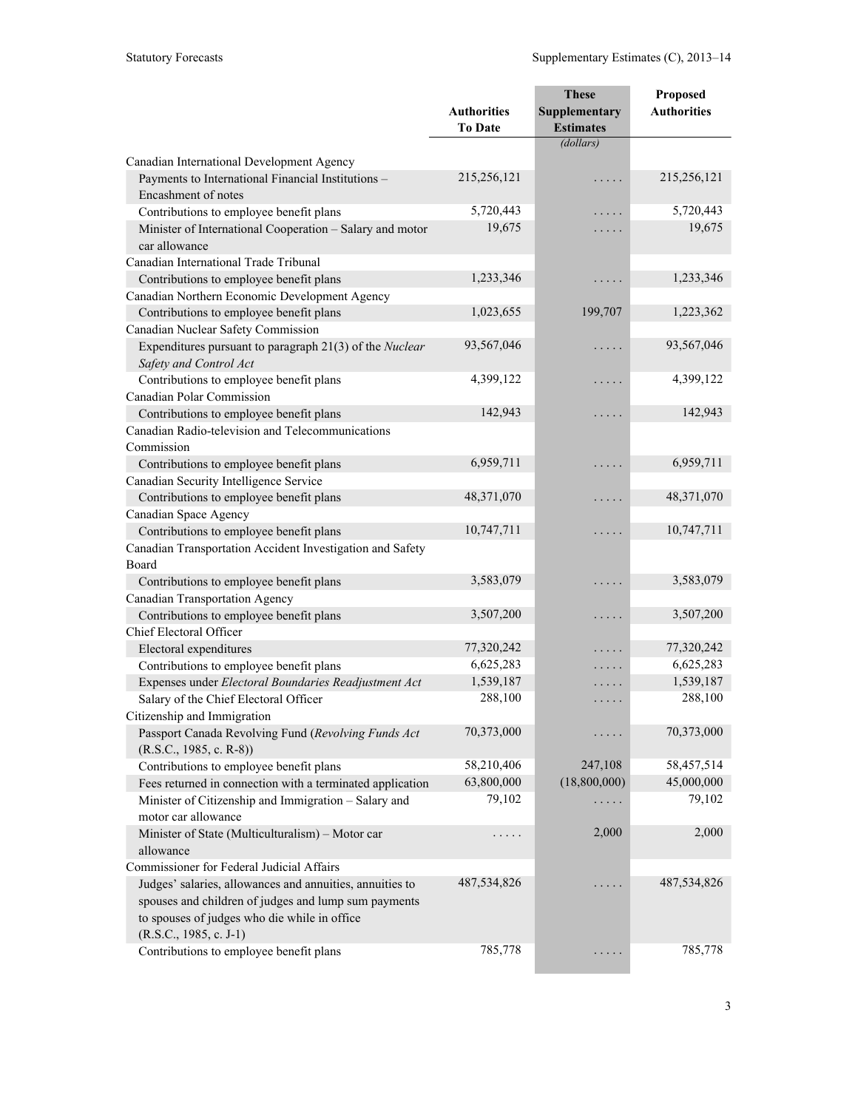|                                                                           | <b>Authorities</b> | <b>These</b><br>Supplementary | Proposed<br><b>Authorities</b> |
|---------------------------------------------------------------------------|--------------------|-------------------------------|--------------------------------|
|                                                                           | <b>To Date</b>     | <b>Estimates</b>              |                                |
|                                                                           |                    | (dollars)                     |                                |
| Canadian International Development Agency                                 |                    |                               |                                |
| Payments to International Financial Institutions -<br>Encashment of notes | 215,256,121        | .                             | 215,256,121                    |
| Contributions to employee benefit plans                                   | 5,720,443          | .                             | 5,720,443                      |
| Minister of International Cooperation - Salary and motor                  | 19,675             | .                             | 19,675                         |
| car allowance                                                             |                    |                               |                                |
| Canadian International Trade Tribunal                                     |                    |                               |                                |
| Contributions to employee benefit plans                                   | 1,233,346          | $\cdots$                      | 1,233,346                      |
| Canadian Northern Economic Development Agency                             |                    |                               |                                |
| Contributions to employee benefit plans                                   | 1,023,655          | 199,707                       | 1,223,362                      |
| Canadian Nuclear Safety Commission                                        |                    |                               |                                |
| Expenditures pursuant to paragraph 21(3) of the Nuclear                   | 93,567,046         | .                             | 93,567,046                     |
| Safety and Control Act                                                    |                    |                               |                                |
| Contributions to employee benefit plans                                   | 4,399,122          | $\cdots$                      | 4,399,122                      |
| Canadian Polar Commission                                                 |                    |                               |                                |
| Contributions to employee benefit plans                                   | 142,943            | $\cdots\cdots\cdots$          | 142,943                        |
| Canadian Radio-television and Telecommunications                          |                    |                               |                                |
| Commission                                                                |                    |                               |                                |
| Contributions to employee benefit plans                                   | 6,959,711          | .                             | 6,959,711                      |
| Canadian Security Intelligence Service                                    |                    |                               |                                |
| Contributions to employee benefit plans                                   | 48,371,070         | $\cdots$                      | 48,371,070                     |
| Canadian Space Agency                                                     |                    |                               |                                |
| Contributions to employee benefit plans                                   | 10,747,711         | .                             | 10,747,711                     |
| Canadian Transportation Accident Investigation and Safety                 |                    |                               |                                |
| Board                                                                     |                    |                               |                                |
| Contributions to employee benefit plans                                   | 3,583,079          | .                             | 3,583,079                      |
| Canadian Transportation Agency                                            |                    |                               |                                |
| Contributions to employee benefit plans                                   | 3,507,200          | .                             | 3,507,200                      |
| Chief Electoral Officer                                                   |                    |                               |                                |
| Electoral expenditures                                                    | 77,320,242         | .                             | 77,320,242                     |
| Contributions to employee benefit plans                                   | 6,625,283          | .                             | 6,625,283                      |
| Expenses under Electoral Boundaries Readjustment Act                      | 1,539,187          | $\cdots$                      | 1,539,187                      |
| Salary of the Chief Electoral Officer                                     | 288,100            | .                             | 288,100                        |
| Citizenship and Immigration                                               |                    |                               |                                |
| Passport Canada Revolving Fund (Revolving Funds Act                       | 70,373,000         | .                             | 70,373,000                     |
| $(R.S.C., 1985, c. R-8))$                                                 |                    |                               |                                |
| Contributions to employee benefit plans                                   | 58,210,406         | 247,108                       | 58,457,514                     |
| Fees returned in connection with a terminated application                 | 63,800,000         | (18,800,000)                  | 45,000,000                     |
| Minister of Citizenship and Immigration - Salary and                      | 79,102             | $\cdots\cdots\cdots$          | 79,102                         |
| motor car allowance                                                       |                    |                               |                                |
| Minister of State (Multiculturalism) - Motor car                          | .                  | 2,000                         | 2,000                          |
| allowance                                                                 |                    |                               |                                |
| Commissioner for Federal Judicial Affairs                                 |                    |                               |                                |
| Judges' salaries, allowances and annuities, annuities to                  | 487,534,826        | .                             | 487,534,826                    |
| spouses and children of judges and lump sum payments                      |                    |                               |                                |
| to spouses of judges who die while in office                              |                    |                               |                                |
| $(R.S.C., 1985, c. J-1)$                                                  |                    |                               |                                |
| Contributions to employee benefit plans                                   | 785,778            | $\cdots\cdots\cdots$          | 785,778                        |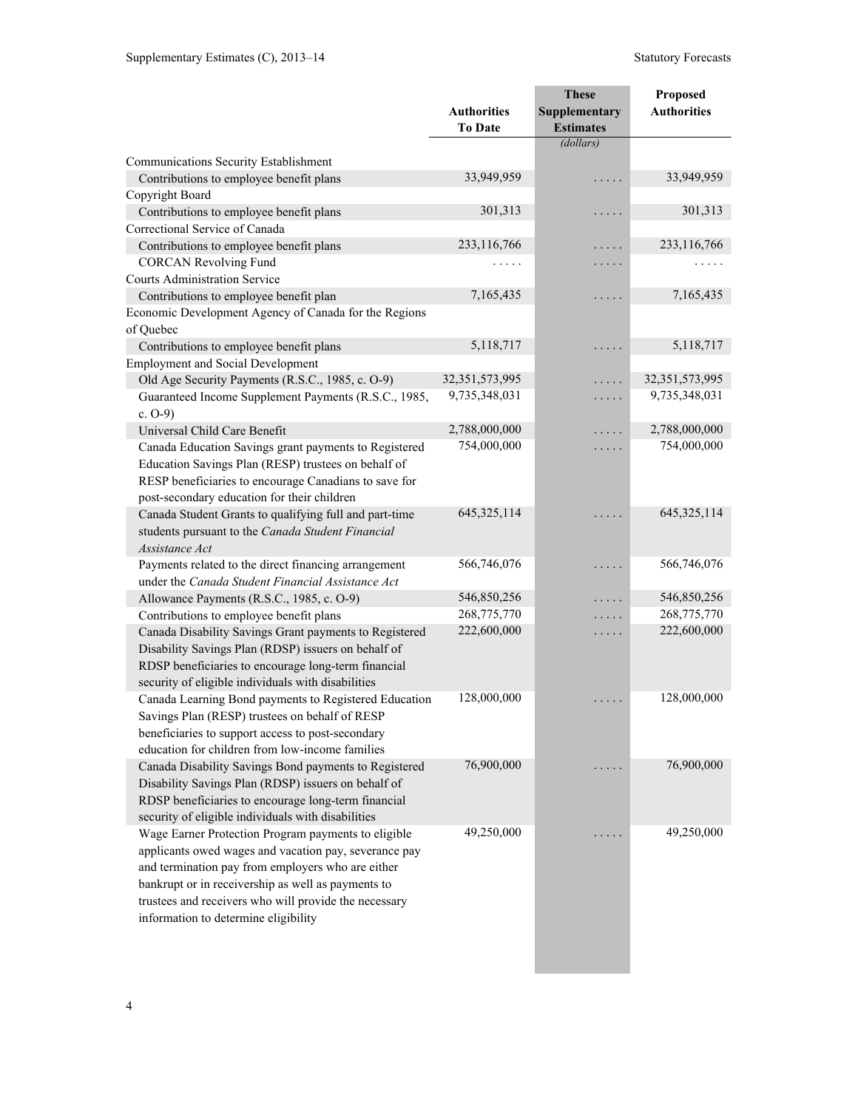|                                                                                                              |                    | <b>These</b>     | Proposed           |
|--------------------------------------------------------------------------------------------------------------|--------------------|------------------|--------------------|
|                                                                                                              | <b>Authorities</b> | Supplementary    | <b>Authorities</b> |
|                                                                                                              | <b>To Date</b>     | <b>Estimates</b> |                    |
|                                                                                                              |                    | (dollars)        |                    |
| Communications Security Establishment                                                                        |                    |                  |                    |
| Contributions to employee benefit plans                                                                      | 33,949,959         | .                | 33,949,959         |
| Copyright Board                                                                                              |                    |                  |                    |
| Contributions to employee benefit plans                                                                      | 301,313            | .                | 301,313            |
| Correctional Service of Canada                                                                               |                    |                  |                    |
| Contributions to employee benefit plans                                                                      | 233,116,766        | .                | 233,116,766        |
| <b>CORCAN Revolving Fund</b>                                                                                 | .                  | .                | .                  |
| <b>Courts Administration Service</b>                                                                         |                    |                  |                    |
| Contributions to employee benefit plan                                                                       | 7,165,435          | .                | 7,165,435          |
| Economic Development Agency of Canada for the Regions                                                        |                    |                  |                    |
| of Quebec                                                                                                    |                    |                  |                    |
| Contributions to employee benefit plans                                                                      | 5,118,717          | .                | 5,118,717          |
| <b>Employment and Social Development</b>                                                                     |                    |                  |                    |
| Old Age Security Payments (R.S.C., 1985, c. O-9)                                                             | 32,351,573,995     | .                | 32,351,573,995     |
| Guaranteed Income Supplement Payments (R.S.C., 1985,                                                         | 9,735,348,031      | .                | 9,735,348,031      |
| c. $O-9$ )                                                                                                   |                    |                  |                    |
| Universal Child Care Benefit                                                                                 | 2,788,000,000      | .                | 2,788,000,000      |
| Canada Education Savings grant payments to Registered                                                        | 754,000,000        | .                | 754,000,000        |
| Education Savings Plan (RESP) trustees on behalf of                                                          |                    |                  |                    |
| RESP beneficiaries to encourage Canadians to save for                                                        |                    |                  |                    |
| post-secondary education for their children                                                                  |                    |                  |                    |
| Canada Student Grants to qualifying full and part-time                                                       | 645,325,114        |                  | 645, 325, 114      |
| students pursuant to the Canada Student Financial                                                            |                    |                  |                    |
| Assistance Act                                                                                               |                    |                  |                    |
| Payments related to the direct financing arrangement                                                         | 566,746,076        | .                | 566,746,076        |
| under the Canada Student Financial Assistance Act                                                            |                    |                  |                    |
| Allowance Payments (R.S.C., 1985, c. O-9)                                                                    | 546,850,256        |                  | 546,850,256        |
| Contributions to employee benefit plans                                                                      | 268,775,770        | .                | 268,775,770        |
| Canada Disability Savings Grant payments to Registered                                                       | 222,600,000        | .                | 222,600,000        |
| Disability Savings Plan (RDSP) issuers on behalf of                                                          |                    |                  |                    |
| RDSP beneficiaries to encourage long-term financial                                                          |                    |                  |                    |
| security of eligible individuals with disabilities                                                           |                    |                  |                    |
| Canada Learning Bond payments to Registered Education                                                        | 128,000,000        | .                | 128,000,000        |
| Savings Plan (RESP) trustees on behalf of RESP                                                               |                    |                  |                    |
| beneficiaries to support access to post-secondary                                                            |                    |                  |                    |
| education for children from low-income families                                                              | 76,900,000         |                  | 76,900,000         |
| Canada Disability Savings Bond payments to Registered                                                        |                    |                  |                    |
| Disability Savings Plan (RDSP) issuers on behalf of                                                          |                    |                  |                    |
| RDSP beneficiaries to encourage long-term financial                                                          |                    |                  |                    |
| security of eligible individuals with disabilities                                                           | 49,250,000         |                  | 49,250,000         |
| Wage Earner Protection Program payments to eligible<br>applicants owed wages and vacation pay, severance pay |                    |                  |                    |
|                                                                                                              |                    |                  |                    |
| and termination pay from employers who are either<br>bankrupt or in receivership as well as payments to      |                    |                  |                    |
| trustees and receivers who will provide the necessary                                                        |                    |                  |                    |
| information to determine eligibility                                                                         |                    |                  |                    |
|                                                                                                              |                    |                  |                    |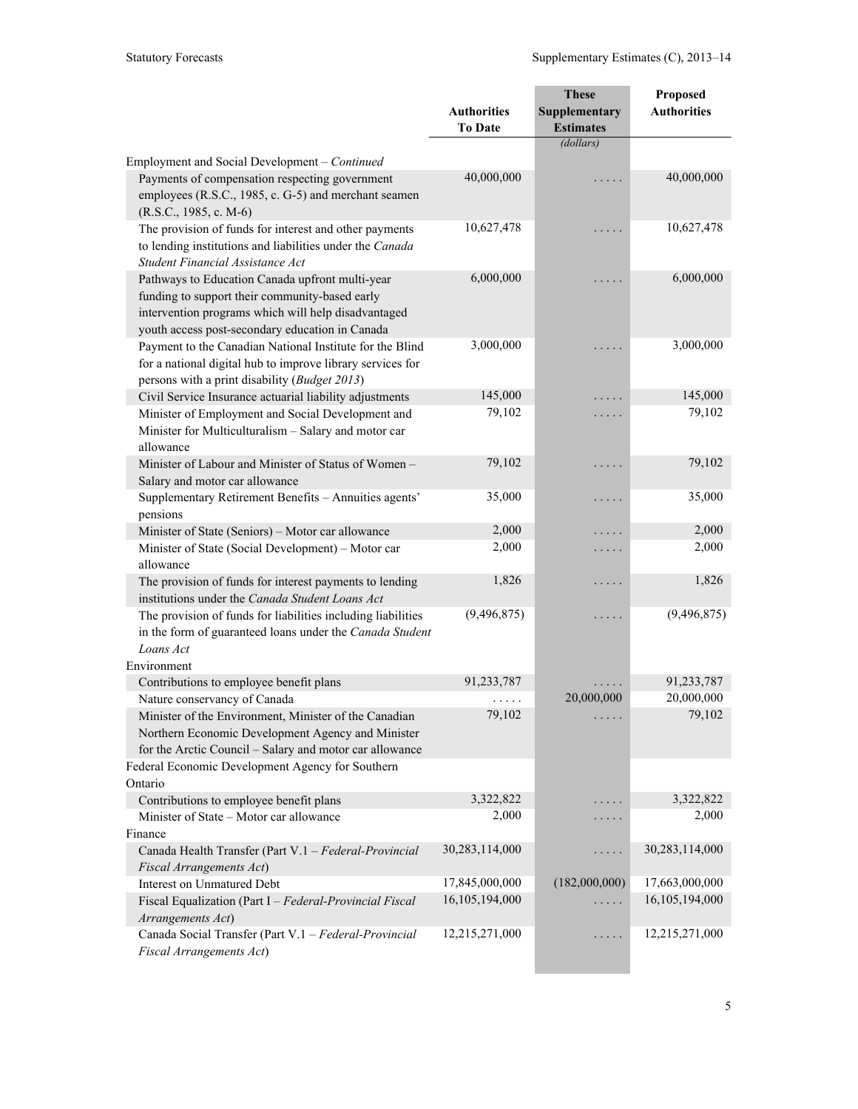|                                                                                                                                                                                                             |                    | <b>These</b>     | Proposed           |
|-------------------------------------------------------------------------------------------------------------------------------------------------------------------------------------------------------------|--------------------|------------------|--------------------|
|                                                                                                                                                                                                             | <b>Authorities</b> | Supplementary    | <b>Authorities</b> |
|                                                                                                                                                                                                             | <b>To Date</b>     | <b>Estimates</b> |                    |
|                                                                                                                                                                                                             |                    | (dollars)        |                    |
| Employment and Social Development - Continued                                                                                                                                                               |                    |                  |                    |
| Payments of compensation respecting government<br>employees (R.S.C., 1985, c. G-5) and merchant seamen<br>$(R.S.C., 1985, c. M-6)$                                                                          | 40,000,000         |                  | 40,000,000         |
| The provision of funds for interest and other payments<br>to lending institutions and liabilities under the Canada<br>Student Financial Assistance Act                                                      | 10,627,478         | .                | 10,627,478         |
| Pathways to Education Canada upfront multi-year<br>funding to support their community-based early<br>intervention programs which will help disadvantaged<br>youth access post-secondary education in Canada | 6,000,000          | .                | 6,000,000          |
| Payment to the Canadian National Institute for the Blind<br>for a national digital hub to improve library services for<br>persons with a print disability (Budget 2013)                                     | 3,000,000          | .                | 3,000,000          |
| Civil Service Insurance actuarial liability adjustments                                                                                                                                                     | 145,000            | $\cdot$          | 145,000            |
| Minister of Employment and Social Development and<br>Minister for Multiculturalism - Salary and motor car<br>allowance                                                                                      | 79,102             | .                | 79,102             |
| Minister of Labour and Minister of Status of Women -<br>Salary and motor car allowance                                                                                                                      | 79,102             | .                | 79,102             |
| Supplementary Retirement Benefits - Annuities agents'<br>pensions                                                                                                                                           | 35,000             | .                | 35,000             |
| Minister of State (Seniors) - Motor car allowance                                                                                                                                                           | 2,000              | .                | 2,000              |
| Minister of State (Social Development) - Motor car                                                                                                                                                          | 2,000              | .                | 2,000              |
| allowance                                                                                                                                                                                                   |                    |                  |                    |
| The provision of funds for interest payments to lending<br>institutions under the Canada Student Loans Act                                                                                                  | 1,826              | .                | 1,826              |
| The provision of funds for liabilities including liabilities<br>in the form of guaranteed loans under the Canada Student<br>Loans Act                                                                       | (9, 496, 875)      | .                | (9, 496, 875)      |
| Environment                                                                                                                                                                                                 | 91,233,787         |                  | 91,233,787         |
| Contributions to employee benefit plans<br>Nature conservancy of Canada                                                                                                                                     |                    | 20,000,000       | 20,000,000         |
| Minister of the Environment, Minister of the Canadian<br>Northern Economic Development Agency and Minister<br>for the Arctic Council - Salary and motor car allowance                                       | .<br>79,102        |                  | 79,102             |
| Federal Economic Development Agency for Southern                                                                                                                                                            |                    |                  |                    |
| Ontario                                                                                                                                                                                                     |                    |                  |                    |
| Contributions to employee benefit plans                                                                                                                                                                     | 3,322,822          |                  | 3,322,822          |
| Minister of State - Motor car allowance                                                                                                                                                                     | 2,000              | .                | 2,000              |
| Finance                                                                                                                                                                                                     |                    |                  |                    |
| Canada Health Transfer (Part V.1 - Federal-Provincial                                                                                                                                                       | 30,283,114,000     | .                | 30,283,114,000     |
| <b>Fiscal Arrangements Act)</b>                                                                                                                                                                             |                    |                  |                    |
| <b>Interest on Unmatured Debt</b>                                                                                                                                                                           | 17,845,000,000     | (182,000,000)    | 17,663,000,000     |
| Fiscal Equalization (Part I - Federal-Provincial Fiscal<br>Arrangements Act)                                                                                                                                | 16,105,194,000     |                  | 16,105,194,000     |
| Canada Social Transfer (Part V.1 - Federal-Provincial<br>Fiscal Arrangements Act)                                                                                                                           | 12,215,271,000     | .                | 12,215,271,000     |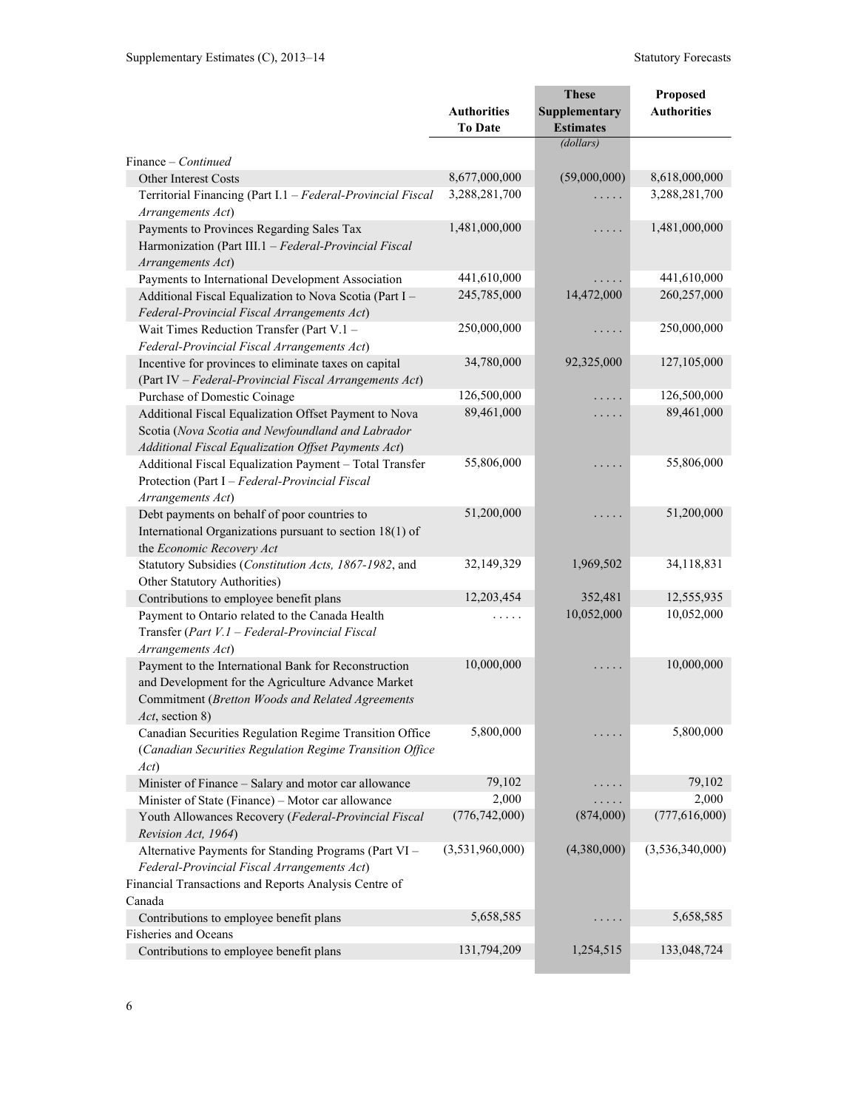|                                                                        |                    | <b>These</b>                  | Proposed           |
|------------------------------------------------------------------------|--------------------|-------------------------------|--------------------|
|                                                                        | <b>Authorities</b> | Supplementary                 | <b>Authorities</b> |
|                                                                        | <b>To Date</b>     | <b>Estimates</b><br>(dollars) |                    |
|                                                                        |                    |                               |                    |
| Finance – Continued<br><b>Other Interest Costs</b>                     | 8,677,000,000      | (59,000,000)                  | 8,618,000,000      |
| Territorial Financing (Part I.1 - Federal-Provincial Fiscal            | 3,288,281,700      |                               | 3,288,281,700      |
| Arrangements Act)                                                      |                    |                               |                    |
| Payments to Provinces Regarding Sales Tax                              | 1,481,000,000      | .                             | 1,481,000,000      |
| Harmonization (Part III.1 - Federal-Provincial Fiscal                  |                    |                               |                    |
| Arrangements Act)                                                      |                    |                               |                    |
| Payments to International Development Association                      | 441,610,000        |                               | 441,610,000        |
| Additional Fiscal Equalization to Nova Scotia (Part I -                | 245,785,000        | 14,472,000                    | 260,257,000        |
| Federal-Provincial Fiscal Arrangements Act)                            |                    |                               |                    |
| Wait Times Reduction Transfer (Part V.1 -                              | 250,000,000        | .                             | 250,000,000        |
| Federal-Provincial Fiscal Arrangements Act)                            |                    |                               |                    |
| Incentive for provinces to eliminate taxes on capital                  | 34,780,000         | 92,325,000                    | 127,105,000        |
| (Part IV - Federal-Provincial Fiscal Arrangements Act)                 |                    |                               |                    |
| Purchase of Domestic Coinage                                           | 126,500,000        | .                             | 126,500,000        |
| Additional Fiscal Equalization Offset Payment to Nova                  | 89,461,000         | .                             | 89,461,000         |
| Scotia (Nova Scotia and Newfoundland and Labrador                      |                    |                               |                    |
| Additional Fiscal Equalization Offset Payments Act)                    |                    |                               |                    |
| Additional Fiscal Equalization Payment - Total Transfer                | 55,806,000         | $\cdots$                      | 55,806,000         |
| Protection (Part I - Federal-Provincial Fiscal                         |                    |                               |                    |
| Arrangements Act)                                                      |                    |                               |                    |
| Debt payments on behalf of poor countries to                           | 51,200,000         |                               | 51,200,000         |
| International Organizations pursuant to section 18(1) of               |                    |                               |                    |
| the Economic Recovery Act                                              |                    |                               |                    |
| Statutory Subsidies (Constitution Acts, 1867-1982, and                 | 32,149,329         | 1,969,502                     | 34,118,831         |
| Other Statutory Authorities)                                           |                    |                               |                    |
| Contributions to employee benefit plans                                | 12,203,454         | 352,481                       | 12,555,935         |
| Payment to Ontario related to the Canada Health                        |                    | 10,052,000                    | 10,052,000         |
| Transfer (Part V.1 - Federal-Provincial Fiscal                         |                    |                               |                    |
| Arrangements Act)                                                      |                    |                               |                    |
| Payment to the International Bank for Reconstruction                   | 10,000,000         |                               | 10,000,000         |
| and Development for the Agriculture Advance Market                     |                    |                               |                    |
| Commitment (Bretton Woods and Related Agreements                       |                    |                               |                    |
| <i>Act</i> , section 8)                                                |                    |                               |                    |
| Canadian Securities Regulation Regime Transition Office                | 5,800,000          |                               | 5,800,000          |
| (Canadian Securities Regulation Regime Transition Office               |                    |                               |                    |
| Act)                                                                   |                    |                               |                    |
| Minister of Finance - Salary and motor car allowance                   | 79,102             |                               | 79,102             |
| Minister of State (Finance) – Motor car allowance                      | 2,000              |                               | 2,000              |
| Youth Allowances Recovery (Federal-Provincial Fiscal                   | (776, 742, 000)    | (874,000)                     | (777, 616, 000)    |
| Revision Act, 1964)                                                    |                    |                               |                    |
| Alternative Payments for Standing Programs (Part VI -                  | (3,531,960,000)    | (4,380,000)                   | (3,536,340,000)    |
| Federal-Provincial Fiscal Arrangements Act)                            |                    |                               |                    |
| Financial Transactions and Reports Analysis Centre of                  |                    |                               |                    |
| Canada                                                                 |                    |                               |                    |
| Contributions to employee benefit plans<br><b>Fisheries and Oceans</b> | 5,658,585          |                               | 5,658,585          |
| Contributions to employee benefit plans                                | 131,794,209        | 1,254,515                     | 133,048,724        |
|                                                                        |                    |                               |                    |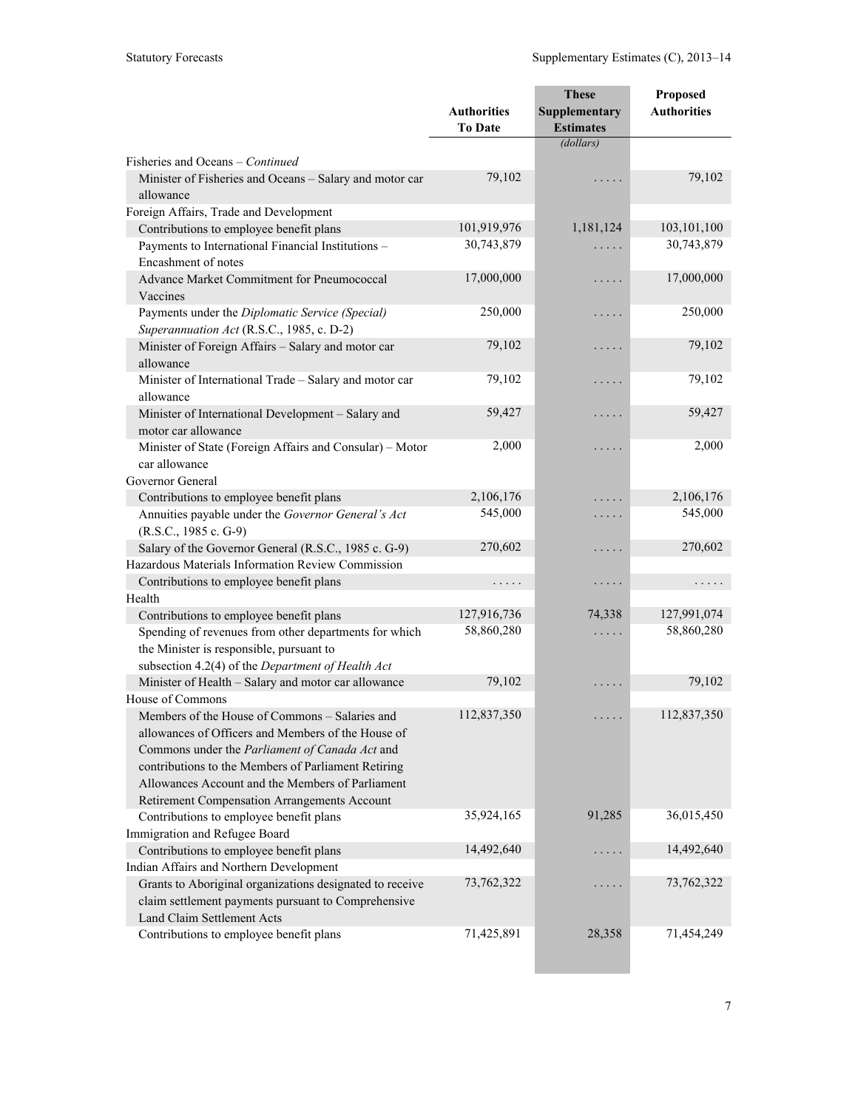|                                                                                                                                                                                                                                                                   |                                      | <b>These</b>                      | Proposed           |
|-------------------------------------------------------------------------------------------------------------------------------------------------------------------------------------------------------------------------------------------------------------------|--------------------------------------|-----------------------------------|--------------------|
|                                                                                                                                                                                                                                                                   | <b>Authorities</b><br><b>To Date</b> | Supplementary<br><b>Estimates</b> | <b>Authorities</b> |
|                                                                                                                                                                                                                                                                   |                                      | (dollars)                         |                    |
| Fisheries and Oceans – Continued                                                                                                                                                                                                                                  |                                      |                                   |                    |
| Minister of Fisheries and Oceans - Salary and motor car<br>allowance                                                                                                                                                                                              | 79,102                               | .                                 | 79,102             |
| Foreign Affairs, Trade and Development                                                                                                                                                                                                                            |                                      |                                   |                    |
| Contributions to employee benefit plans                                                                                                                                                                                                                           | 101,919,976                          | 1,181,124                         | 103,101,100        |
| Payments to International Financial Institutions -<br>Encashment of notes                                                                                                                                                                                         | 30,743,879                           | .                                 | 30,743,879         |
| Advance Market Commitment for Pneumococcal<br>Vaccines                                                                                                                                                                                                            | 17,000,000                           | .                                 | 17,000,000         |
| Payments under the Diplomatic Service (Special)<br>Superannuation Act (R.S.C., 1985, c. D-2)                                                                                                                                                                      | 250,000                              | .                                 | 250,000            |
| Minister of Foreign Affairs - Salary and motor car<br>allowance                                                                                                                                                                                                   | 79,102                               | .                                 | 79,102             |
| Minister of International Trade - Salary and motor car<br>allowance                                                                                                                                                                                               | 79,102                               | .                                 | 79,102             |
| Minister of International Development - Salary and<br>motor car allowance                                                                                                                                                                                         | 59,427                               | .                                 | 59,427             |
| Minister of State (Foreign Affairs and Consular) – Motor<br>car allowance<br>Governor General                                                                                                                                                                     | 2,000                                | .                                 | 2,000              |
| Contributions to employee benefit plans                                                                                                                                                                                                                           | 2,106,176                            | .                                 | 2,106,176          |
| Annuities payable under the Governor General's Act<br>(R.S.C., 1985 c. G-9)                                                                                                                                                                                       | 545,000                              | .                                 | 545,000            |
| Salary of the Governor General (R.S.C., 1985 c. G-9)                                                                                                                                                                                                              | 270,602                              | .                                 | 270,602            |
| Hazardous Materials Information Review Commission                                                                                                                                                                                                                 |                                      |                                   |                    |
| Contributions to employee benefit plans                                                                                                                                                                                                                           | .                                    | $\cdots\cdots\cdots$              | .                  |
| Health                                                                                                                                                                                                                                                            |                                      |                                   |                    |
| Contributions to employee benefit plans                                                                                                                                                                                                                           | 127,916,736                          | 74,338                            | 127,991,074        |
| Spending of revenues from other departments for which<br>the Minister is responsible, pursuant to<br>subsection 4.2(4) of the Department of Health Act                                                                                                            | 58,860,280                           | .                                 | 58,860,280         |
| Minister of Health - Salary and motor car allowance                                                                                                                                                                                                               | 79,102                               | .                                 | 79,102             |
| House of Commons                                                                                                                                                                                                                                                  |                                      |                                   |                    |
| Members of the House of Commons - Salaries and<br>allowances of Officers and Members of the House of<br>Commons under the Parliament of Canada Act and<br>contributions to the Members of Parliament Retiring<br>Allowances Account and the Members of Parliament | 112,837,350                          | .                                 | 112,837,350        |
| Retirement Compensation Arrangements Account                                                                                                                                                                                                                      |                                      |                                   |                    |
| Contributions to employee benefit plans                                                                                                                                                                                                                           | 35,924,165                           | 91,285                            | 36,015,450         |
| Immigration and Refugee Board                                                                                                                                                                                                                                     |                                      |                                   |                    |
| Contributions to employee benefit plans                                                                                                                                                                                                                           | 14,492,640                           | .                                 | 14,492,640         |
| Indian Affairs and Northern Development                                                                                                                                                                                                                           |                                      |                                   |                    |
| Grants to Aboriginal organizations designated to receive<br>claim settlement payments pursuant to Comprehensive<br>Land Claim Settlement Acts                                                                                                                     | 73,762,322                           |                                   | 73,762,322         |
| Contributions to employee benefit plans                                                                                                                                                                                                                           | 71,425,891                           | 28,358                            | 71,454,249         |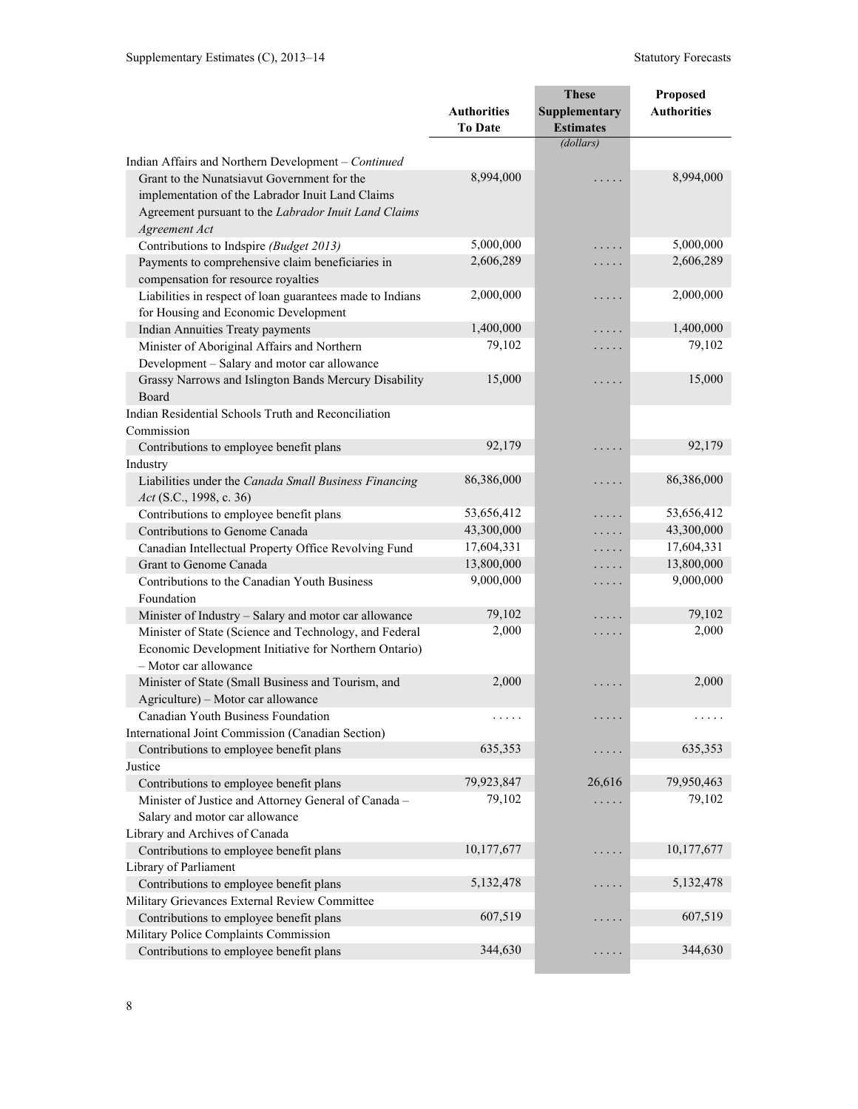|                                                                                                                 |                                      | <b>These</b>                      | Proposed           |
|-----------------------------------------------------------------------------------------------------------------|--------------------------------------|-----------------------------------|--------------------|
|                                                                                                                 | <b>Authorities</b><br><b>To Date</b> | Supplementary<br><b>Estimates</b> | <b>Authorities</b> |
|                                                                                                                 |                                      | (dollars)                         |                    |
| Indian Affairs and Northern Development - Continued                                                             |                                      |                                   |                    |
| Grant to the Nunatsiavut Government for the<br>implementation of the Labrador Inuit Land Claims                 | 8,994,000                            | .                                 | 8,994,000          |
| Agreement pursuant to the Labrador Inuit Land Claims<br>Agreement Act                                           |                                      |                                   |                    |
| Contributions to Indspire (Budget 2013)                                                                         | 5,000,000                            | .                                 | 5,000,000          |
| Payments to comprehensive claim beneficiaries in<br>compensation for resource royalties                         | 2,606,289                            | .                                 | 2,606,289          |
| Liabilities in respect of loan guarantees made to Indians                                                       | 2,000,000                            | .                                 | 2,000,000          |
| for Housing and Economic Development                                                                            |                                      |                                   |                    |
| <b>Indian Annuities Treaty payments</b>                                                                         | 1,400,000                            | .                                 | 1,400,000          |
| Minister of Aboriginal Affairs and Northern                                                                     | 79,102                               | .                                 | 79,102             |
| Development - Salary and motor car allowance                                                                    |                                      |                                   |                    |
| Grassy Narrows and Islington Bands Mercury Disability                                                           | 15,000                               | $\cdots$                          | 15,000             |
| Board                                                                                                           |                                      |                                   |                    |
| Indian Residential Schools Truth and Reconciliation                                                             |                                      |                                   |                    |
| Commission                                                                                                      |                                      |                                   |                    |
| Contributions to employee benefit plans                                                                         | 92,179                               | .                                 | 92,179             |
| Industry                                                                                                        |                                      |                                   |                    |
| Liabilities under the Canada Small Business Financing                                                           | 86,386,000                           | .                                 | 86,386,000         |
| Act (S.C., 1998, c. 36)                                                                                         |                                      |                                   | 53,656,412         |
| Contributions to employee benefit plans                                                                         | 53,656,412<br>43,300,000             | .                                 | 43,300,000         |
| Contributions to Genome Canada                                                                                  | 17,604,331                           | .                                 | 17,604,331         |
| Canadian Intellectual Property Office Revolving Fund                                                            | 13,800,000                           | .                                 | 13,800,000         |
| Grant to Genome Canada                                                                                          |                                      | .                                 | 9,000,000          |
| Contributions to the Canadian Youth Business<br>Foundation                                                      | 9,000,000                            | .                                 |                    |
| Minister of Industry - Salary and motor car allowance                                                           | 79,102                               | .                                 | 79,102             |
| Minister of State (Science and Technology, and Federal<br>Economic Development Initiative for Northern Ontario) | 2,000                                | .                                 | 2,000              |
| - Motor car allowance                                                                                           |                                      |                                   |                    |
| Minister of State (Small Business and Tourism, and<br>Agriculture) - Motor car allowance                        | 2,000                                | $\cdots\cdots\cdots$              | 2,000              |
| Canadian Youth Business Foundation                                                                              | $\cdots\cdots\cdots$                 |                                   | .                  |
| International Joint Commission (Canadian Section)                                                               |                                      |                                   |                    |
| Contributions to employee benefit plans                                                                         | 635,353                              | .                                 | 635,353            |
| Justice                                                                                                         |                                      |                                   |                    |
| Contributions to employee benefit plans                                                                         | 79,923,847                           | 26,616                            | 79,950,463         |
| Minister of Justice and Attorney General of Canada -                                                            | 79,102                               |                                   | 79,102             |
| Salary and motor car allowance                                                                                  |                                      |                                   |                    |
| Library and Archives of Canada                                                                                  |                                      |                                   |                    |
| Contributions to employee benefit plans                                                                         | 10,177,677                           | .                                 | 10,177,677         |
| Library of Parliament                                                                                           |                                      |                                   |                    |
| Contributions to employee benefit plans                                                                         | 5, 132, 478                          |                                   | 5, 132, 478        |
| Military Grievances External Review Committee                                                                   |                                      |                                   |                    |
| Contributions to employee benefit plans                                                                         | 607,519                              | .                                 | 607,519            |
| Military Police Complaints Commission                                                                           |                                      |                                   |                    |
| Contributions to employee benefit plans                                                                         | 344,630                              | $\cdots\cdots\cdots$              | 344,630            |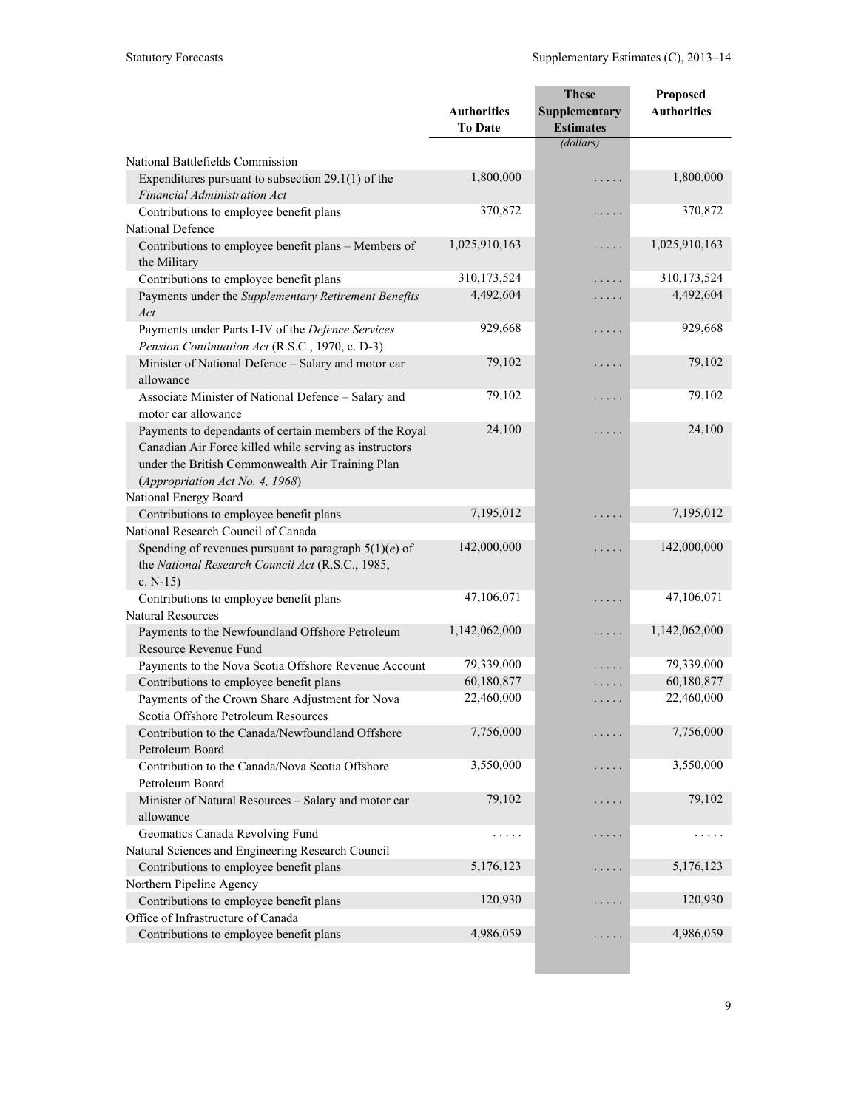|                                                                                                                                                                                                         |                                      | <b>These</b>                      | Proposed           |
|---------------------------------------------------------------------------------------------------------------------------------------------------------------------------------------------------------|--------------------------------------|-----------------------------------|--------------------|
|                                                                                                                                                                                                         | <b>Authorities</b><br><b>To Date</b> | Supplementary<br><b>Estimates</b> | <b>Authorities</b> |
|                                                                                                                                                                                                         |                                      | (dollars)                         |                    |
| National Battlefields Commission                                                                                                                                                                        |                                      |                                   |                    |
| Expenditures pursuant to subsection $29.1(1)$ of the<br>Financial Administration Act                                                                                                                    | 1,800,000                            | .                                 | 1,800,000          |
| Contributions to employee benefit plans                                                                                                                                                                 | 370,872                              | .                                 | 370,872            |
| National Defence                                                                                                                                                                                        |                                      |                                   |                    |
| Contributions to employee benefit plans - Members of<br>the Military                                                                                                                                    | 1,025,910,163                        | .                                 | 1,025,910,163      |
| Contributions to employee benefit plans                                                                                                                                                                 | 310,173,524                          | $\sim$ $\sim$ $\sim$ $\sim$       | 310,173,524        |
| Payments under the Supplementary Retirement Benefits<br>Act                                                                                                                                             | 4,492,604                            | .                                 | 4,492,604          |
| Payments under Parts I-IV of the Defence Services<br>Pension Continuation Act (R.S.C., 1970, c. D-3)                                                                                                    | 929,668                              | .                                 | 929,668            |
| Minister of National Defence - Salary and motor car<br>allowance                                                                                                                                        | 79,102                               | .                                 | 79,102             |
| Associate Minister of National Defence - Salary and<br>motor car allowance                                                                                                                              | 79,102                               | .                                 | 79,102             |
| Payments to dependants of certain members of the Royal<br>Canadian Air Force killed while serving as instructors<br>under the British Commonwealth Air Training Plan<br>(Appropriation Act No. 4, 1968) | 24,100                               | .                                 | 24,100             |
| National Energy Board                                                                                                                                                                                   |                                      |                                   |                    |
| Contributions to employee benefit plans                                                                                                                                                                 | 7,195,012                            | $\ddot{\phantom{0}}$              | 7,195,012          |
| National Research Council of Canada                                                                                                                                                                     |                                      |                                   |                    |
| Spending of revenues pursuant to paragraph $5(1)(e)$ of<br>the National Research Council Act (R.S.C., 1985,<br>c. $N-15$ )                                                                              | 142,000,000                          | .                                 | 142,000,000        |
| Contributions to employee benefit plans                                                                                                                                                                 | 47,106,071                           | بالمناب                           | 47,106,071         |
| <b>Natural Resources</b>                                                                                                                                                                                |                                      |                                   |                    |
| Payments to the Newfoundland Offshore Petroleum<br>Resource Revenue Fund                                                                                                                                | 1,142,062,000                        | .                                 | 1,142,062,000      |
| Payments to the Nova Scotia Offshore Revenue Account                                                                                                                                                    | 79,339,000                           |                                   | 79,339,000         |
| Contributions to employee benefit plans                                                                                                                                                                 | 60,180,877                           | $\cdots$                          | 60,180,877         |
| Payments of the Crown Share Adjustment for Nova<br>Scotia Offshore Petroleum Resources                                                                                                                  | 22,460,000                           | .                                 | 22,460,000         |
| Contribution to the Canada/Newfoundland Offshore<br>Petroleum Board                                                                                                                                     | 7,756,000                            |                                   | 7,756,000          |
| Contribution to the Canada/Nova Scotia Offshore<br>Petroleum Board                                                                                                                                      | 3,550,000                            |                                   | 3,550,000          |
| Minister of Natural Resources - Salary and motor car<br>allowance                                                                                                                                       | 79,102                               | $\sim$ $\sim$ $\sim$ $\sim$       | 79,102             |
| Geomatics Canada Revolving Fund                                                                                                                                                                         | .                                    |                                   |                    |
| Natural Sciences and Engineering Research Council                                                                                                                                                       |                                      |                                   |                    |
| Contributions to employee benefit plans                                                                                                                                                                 | 5,176,123                            | $\sim$ $\sim$ $\sim$              | 5,176,123          |
| Northern Pipeline Agency                                                                                                                                                                                |                                      |                                   |                    |
| Contributions to employee benefit plans                                                                                                                                                                 | 120,930                              | $\ddot{\phantom{0}}$              | 120,930            |
| Office of Infrastructure of Canada                                                                                                                                                                      |                                      |                                   |                    |
| Contributions to employee benefit plans                                                                                                                                                                 | 4,986,059                            | .                                 | 4,986,059          |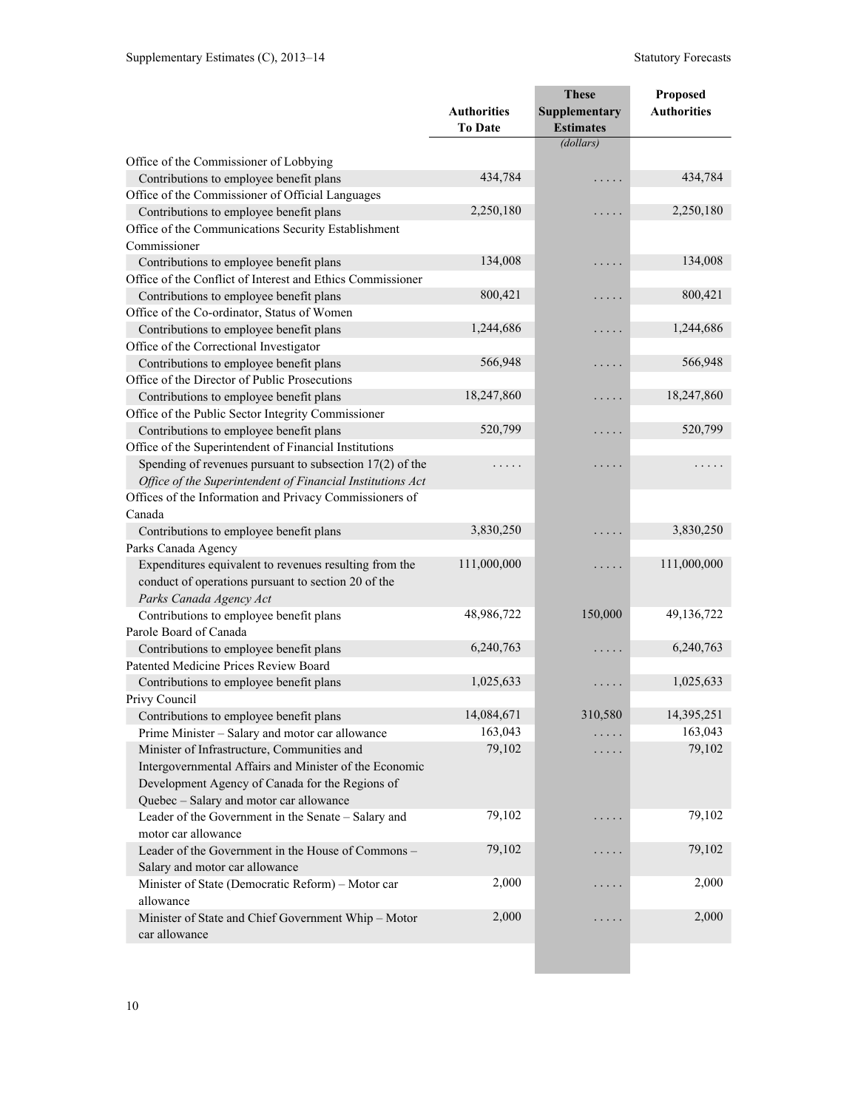|                                                            |                                      | <b>These</b>                      | Proposed           |
|------------------------------------------------------------|--------------------------------------|-----------------------------------|--------------------|
|                                                            | <b>Authorities</b><br><b>To Date</b> | Supplementary<br><b>Estimates</b> | <b>Authorities</b> |
|                                                            |                                      | (dollars)                         |                    |
| Office of the Commissioner of Lobbying                     |                                      |                                   |                    |
| Contributions to employee benefit plans                    | 434,784                              | $\ddot{\phantom{0}}$              | 434,784            |
| Office of the Commissioner of Official Languages           |                                      |                                   |                    |
| Contributions to employee benefit plans                    | 2,250,180                            | .                                 | 2,250,180          |
| Office of the Communications Security Establishment        |                                      |                                   |                    |
| Commissioner                                               |                                      |                                   |                    |
| Contributions to employee benefit plans                    | 134,008                              | .                                 | 134,008            |
| Office of the Conflict of Interest and Ethics Commissioner |                                      |                                   |                    |
| Contributions to employee benefit plans                    | 800,421                              | .                                 | 800,421            |
| Office of the Co-ordinator, Status of Women                |                                      |                                   |                    |
| Contributions to employee benefit plans                    | 1,244,686                            | .                                 | 1,244,686          |
| Office of the Correctional Investigator                    |                                      |                                   |                    |
| Contributions to employee benefit plans                    | 566,948                              | .                                 | 566,948            |
| Office of the Director of Public Prosecutions              |                                      |                                   |                    |
| Contributions to employee benefit plans                    | 18,247,860                           | .                                 | 18,247,860         |
| Office of the Public Sector Integrity Commissioner         |                                      |                                   |                    |
| Contributions to employee benefit plans                    | 520,799                              | .                                 | 520,799            |
| Office of the Superintendent of Financial Institutions     |                                      |                                   |                    |
| Spending of revenues pursuant to subsection $17(2)$ of the |                                      | .                                 | .                  |
| Office of the Superintendent of Financial Institutions Act |                                      |                                   |                    |
| Offices of the Information and Privacy Commissioners of    |                                      |                                   |                    |
| Canada                                                     |                                      |                                   |                    |
| Contributions to employee benefit plans                    | 3,830,250                            | $\ddot{\phantom{0}}$              | 3,830,250          |
| Parks Canada Agency                                        |                                      |                                   |                    |
| Expenditures equivalent to revenues resulting from the     | 111,000,000                          | .                                 | 111,000,000        |
| conduct of operations pursuant to section 20 of the        |                                      |                                   |                    |
| Parks Canada Agency Act                                    |                                      |                                   |                    |
| Contributions to employee benefit plans                    | 48,986,722                           | 150,000                           | 49,136,722         |
| Parole Board of Canada                                     |                                      |                                   |                    |
| Contributions to employee benefit plans                    | 6,240,763                            | .                                 | 6,240,763          |
| Patented Medicine Prices Review Board                      |                                      |                                   |                    |
| Contributions to employee benefit plans                    | 1,025,633                            | .                                 | 1,025,633          |
| Privy Council                                              |                                      |                                   |                    |
| Contributions to employee benefit plans                    | 14,084,671                           | 310,580                           | 14,395,251         |
| Prime Minister - Salary and motor car allowance            | 163,043                              |                                   | 163,043            |
| Minister of Infrastructure, Communities and                | 79,102                               | .                                 | 79,102             |
| Intergovernmental Affairs and Minister of the Economic     |                                      |                                   |                    |
| Development Agency of Canada for the Regions of            |                                      |                                   |                    |
| Quebec - Salary and motor car allowance                    |                                      |                                   |                    |
| Leader of the Government in the Senate - Salary and        | 79,102                               | $\cdot$                           | 79,102             |
| motor car allowance                                        |                                      |                                   |                    |
| Leader of the Government in the House of Commons -         | 79,102                               | .                                 | 79,102             |
| Salary and motor car allowance                             |                                      |                                   |                    |
| Minister of State (Democratic Reform) - Motor car          | 2,000                                | $\cdots$                          | 2,000              |
| allowance                                                  |                                      |                                   |                    |
| Minister of State and Chief Government Whip - Motor        | 2,000                                | .                                 | 2,000              |
| car allowance                                              |                                      |                                   |                    |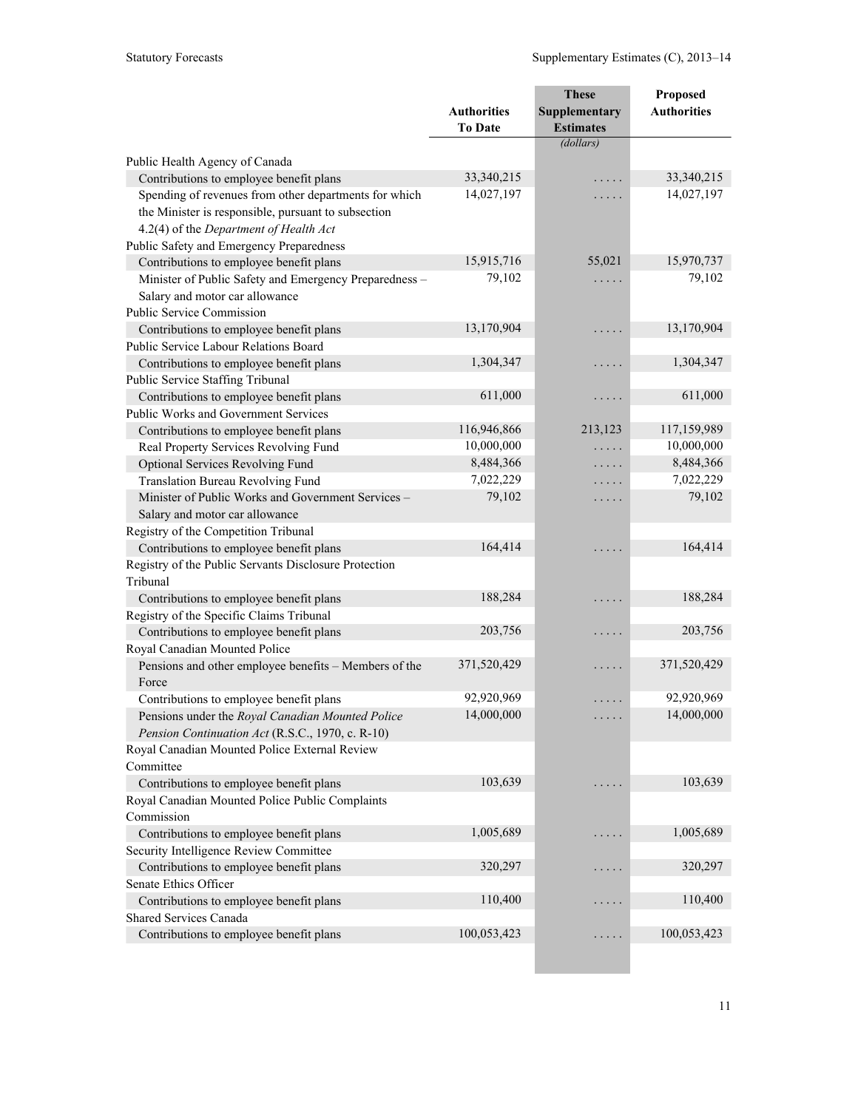|                                                                                         |                    | <b>These</b>     | Proposed                  |
|-----------------------------------------------------------------------------------------|--------------------|------------------|---------------------------|
|                                                                                         | <b>Authorities</b> | Supplementary    | <b>Authorities</b>        |
|                                                                                         | <b>To Date</b>     | <b>Estimates</b> |                           |
|                                                                                         |                    | (dollars)        |                           |
| Public Health Agency of Canada                                                          |                    |                  |                           |
| Contributions to employee benefit plans                                                 | 33,340,215         |                  | 33,340,215                |
| Spending of revenues from other departments for which                                   | 14,027,197         | .                | 14,027,197                |
| the Minister is responsible, pursuant to subsection                                     |                    |                  |                           |
| 4.2(4) of the Department of Health Act                                                  |                    |                  |                           |
| Public Safety and Emergency Preparedness                                                |                    |                  |                           |
| Contributions to employee benefit plans                                                 | 15,915,716         | 55,021           | 15,970,737                |
| Minister of Public Safety and Emergency Preparedness -                                  | 79,102             | .                | 79,102                    |
| Salary and motor car allowance                                                          |                    |                  |                           |
| Public Service Commission                                                               |                    |                  |                           |
| Contributions to employee benefit plans                                                 | 13,170,904         | .                | 13,170,904                |
| Public Service Labour Relations Board                                                   |                    |                  |                           |
| Contributions to employee benefit plans                                                 | 1,304,347          | .                | 1,304,347                 |
| Public Service Staffing Tribunal                                                        |                    |                  |                           |
| Contributions to employee benefit plans                                                 | 611,000            | .                | 611,000                   |
| Public Works and Government Services                                                    | 116,946,866        |                  |                           |
| Contributions to employee benefit plans                                                 | 10,000,000         | 213,123          | 117,159,989<br>10,000,000 |
| Real Property Services Revolving Fund                                                   | 8,484,366          | .                | 8,484,366                 |
| Optional Services Revolving Fund                                                        | 7,022,229          | .                | 7,022,229                 |
| Translation Bureau Revolving Fund<br>Minister of Public Works and Government Services - | 79,102             | .                | 79,102                    |
| Salary and motor car allowance                                                          |                    | .                |                           |
| Registry of the Competition Tribunal                                                    |                    |                  |                           |
| Contributions to employee benefit plans                                                 | 164,414            |                  | 164,414                   |
| Registry of the Public Servants Disclosure Protection                                   |                    |                  |                           |
| Tribunal                                                                                |                    |                  |                           |
| Contributions to employee benefit plans                                                 | 188,284            | .                | 188,284                   |
| Registry of the Specific Claims Tribunal                                                |                    |                  |                           |
| Contributions to employee benefit plans                                                 | 203,756            | .                | 203,756                   |
| Royal Canadian Mounted Police                                                           |                    |                  |                           |
| Pensions and other employee benefits - Members of the                                   | 371,520,429        | .                | 371,520,429               |
| Force                                                                                   |                    |                  |                           |
| Contributions to employee benefit plans                                                 | 92,920,969         | .                | 92,920,969                |
| Pensions under the Royal Canadian Mounted Police                                        | 14,000,000         |                  | 14,000,000                |
| Pension Continuation Act (R.S.C., 1970, c. R-10)                                        |                    |                  |                           |
| Royal Canadian Mounted Police External Review                                           |                    |                  |                           |
| Committee                                                                               |                    |                  |                           |
| Contributions to employee benefit plans                                                 | 103,639            |                  | 103,639                   |
| Royal Canadian Mounted Police Public Complaints                                         |                    |                  |                           |
| Commission                                                                              |                    |                  |                           |
| Contributions to employee benefit plans                                                 | 1,005,689          |                  | 1,005,689                 |
| Security Intelligence Review Committee                                                  |                    |                  |                           |
| Contributions to employee benefit plans                                                 | 320,297            |                  | 320,297                   |
| Senate Ethics Officer                                                                   |                    |                  |                           |
| Contributions to employee benefit plans                                                 | 110,400            |                  | 110,400                   |
| <b>Shared Services Canada</b>                                                           |                    |                  |                           |
| Contributions to employee benefit plans                                                 | 100,053,423        | .                | 100,053,423               |
|                                                                                         |                    |                  |                           |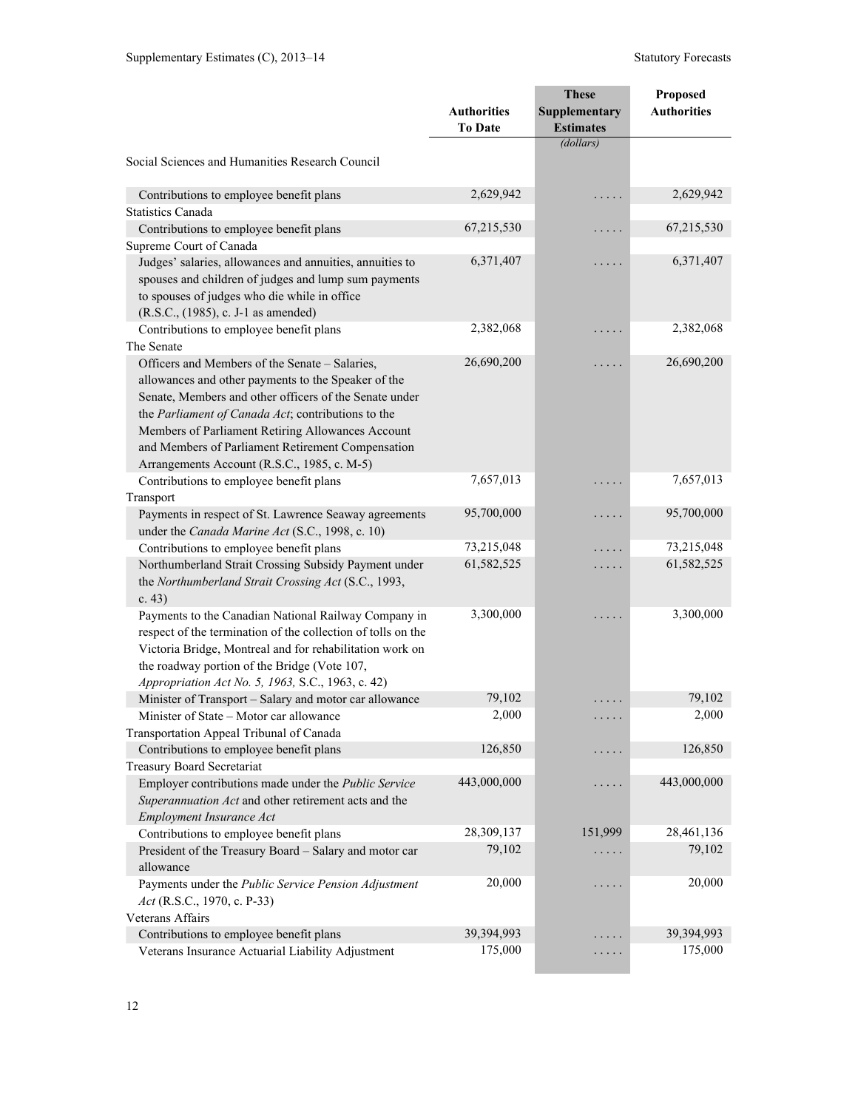| <b>Authorities</b><br>Supplementary<br><b>Authorities</b><br><b>Estimates</b><br><b>To Date</b><br>(dollars)<br>Social Sciences and Humanities Research Council<br>2,629,942<br>2,629,942<br>Contributions to employee benefit plans<br>$\cdots$<br><b>Statistics Canada</b><br>67,215,530<br>67,215,530<br>Contributions to employee benefit plans<br>$\cdots$<br>Supreme Court of Canada<br>6,371,407<br>6,371,407<br>Judges' salaries, allowances and annuities, annuities to<br>$\cdots$<br>spouses and children of judges and lump sum payments<br>to spouses of judges who die while in office<br>(R.S.C., (1985), c. J-1 as amended)<br>2,382,068<br>2,382,068<br>Contributions to employee benefit plans<br>$\cdots$<br>The Senate<br>26,690,200<br>26,690,200<br>Officers and Members of the Senate - Salaries,<br>$\cdots$<br>allowances and other payments to the Speaker of the<br>Senate, Members and other officers of the Senate under<br>the Parliament of Canada Act; contributions to the<br>Members of Parliament Retiring Allowances Account<br>and Members of Parliament Retirement Compensation<br>Arrangements Account (R.S.C., 1985, c. M-5)<br>7,657,013<br>7,657,013<br>Contributions to employee benefit plans<br>.<br>Transport<br>95,700,000<br>95,700,000<br>Payments in respect of St. Lawrence Seaway agreements<br>$\cdots$ .<br>under the Canada Marine Act (S.C., 1998, c. 10)<br>73,215,048<br>73,215,048<br>Contributions to employee benefit plans<br>.<br>61,582,525<br>61,582,525<br>Northumberland Strait Crossing Subsidy Payment under<br>.<br>the Northumberland Strait Crossing Act (S.C., 1993,<br>c. $43)$<br>3,300,000<br>3,300,000<br>Payments to the Canadian National Railway Company in<br>respect of the termination of the collection of tolls on the<br>Victoria Bridge, Montreal and for rehabilitation work on<br>the roadway portion of the Bridge (Vote 107,<br>Appropriation Act No. 5, 1963, S.C., 1963, c. 42)<br>79,102<br>79,102<br>Minister of Transport - Salary and motor car allowance<br>.<br>Minister of State – Motor car allowance<br>2,000<br>2,000<br>.<br>Transportation Appeal Tribunal of Canada<br>126,850<br>126,850<br>Contributions to employee benefit plans<br>$\cdots$<br><b>Treasury Board Secretariat</b><br>443,000,000<br>443,000,000<br>Employer contributions made under the Public Service<br>.<br>Superannuation Act and other retirement acts and the<br>Employment Insurance Act<br>28,309,137<br>151,999<br>28,461,136<br>Contributions to employee benefit plans<br>79,102<br>79,102<br>President of the Treasury Board - Salary and motor car<br>.<br>allowance<br>20,000<br>20,000<br>Payments under the Public Service Pension Adjustment<br>.<br>Act (R.S.C., 1970, c. P-33)<br>Veterans Affairs<br>39,394,993<br>39,394,993<br>Contributions to employee benefit plans |                                                   |         | <b>These</b>         | Proposed |
|-----------------------------------------------------------------------------------------------------------------------------------------------------------------------------------------------------------------------------------------------------------------------------------------------------------------------------------------------------------------------------------------------------------------------------------------------------------------------------------------------------------------------------------------------------------------------------------------------------------------------------------------------------------------------------------------------------------------------------------------------------------------------------------------------------------------------------------------------------------------------------------------------------------------------------------------------------------------------------------------------------------------------------------------------------------------------------------------------------------------------------------------------------------------------------------------------------------------------------------------------------------------------------------------------------------------------------------------------------------------------------------------------------------------------------------------------------------------------------------------------------------------------------------------------------------------------------------------------------------------------------------------------------------------------------------------------------------------------------------------------------------------------------------------------------------------------------------------------------------------------------------------------------------------------------------------------------------------------------------------------------------------------------------------------------------------------------------------------------------------------------------------------------------------------------------------------------------------------------------------------------------------------------------------------------------------------------------------------------------------------------------------------------------------------------------------------------------------------------------------------------------------------------------------------------------------------------------------------------------------------------------------------------------------------------------------------------------------------------------------------------------------------------------------------------------------------------------------------------------------------------|---------------------------------------------------|---------|----------------------|----------|
|                                                                                                                                                                                                                                                                                                                                                                                                                                                                                                                                                                                                                                                                                                                                                                                                                                                                                                                                                                                                                                                                                                                                                                                                                                                                                                                                                                                                                                                                                                                                                                                                                                                                                                                                                                                                                                                                                                                                                                                                                                                                                                                                                                                                                                                                                                                                                                                                                                                                                                                                                                                                                                                                                                                                                                                                                                                                             |                                                   |         |                      |          |
|                                                                                                                                                                                                                                                                                                                                                                                                                                                                                                                                                                                                                                                                                                                                                                                                                                                                                                                                                                                                                                                                                                                                                                                                                                                                                                                                                                                                                                                                                                                                                                                                                                                                                                                                                                                                                                                                                                                                                                                                                                                                                                                                                                                                                                                                                                                                                                                                                                                                                                                                                                                                                                                                                                                                                                                                                                                                             |                                                   |         |                      |          |
|                                                                                                                                                                                                                                                                                                                                                                                                                                                                                                                                                                                                                                                                                                                                                                                                                                                                                                                                                                                                                                                                                                                                                                                                                                                                                                                                                                                                                                                                                                                                                                                                                                                                                                                                                                                                                                                                                                                                                                                                                                                                                                                                                                                                                                                                                                                                                                                                                                                                                                                                                                                                                                                                                                                                                                                                                                                                             |                                                   |         |                      |          |
|                                                                                                                                                                                                                                                                                                                                                                                                                                                                                                                                                                                                                                                                                                                                                                                                                                                                                                                                                                                                                                                                                                                                                                                                                                                                                                                                                                                                                                                                                                                                                                                                                                                                                                                                                                                                                                                                                                                                                                                                                                                                                                                                                                                                                                                                                                                                                                                                                                                                                                                                                                                                                                                                                                                                                                                                                                                                             |                                                   |         |                      |          |
|                                                                                                                                                                                                                                                                                                                                                                                                                                                                                                                                                                                                                                                                                                                                                                                                                                                                                                                                                                                                                                                                                                                                                                                                                                                                                                                                                                                                                                                                                                                                                                                                                                                                                                                                                                                                                                                                                                                                                                                                                                                                                                                                                                                                                                                                                                                                                                                                                                                                                                                                                                                                                                                                                                                                                                                                                                                                             |                                                   |         |                      |          |
|                                                                                                                                                                                                                                                                                                                                                                                                                                                                                                                                                                                                                                                                                                                                                                                                                                                                                                                                                                                                                                                                                                                                                                                                                                                                                                                                                                                                                                                                                                                                                                                                                                                                                                                                                                                                                                                                                                                                                                                                                                                                                                                                                                                                                                                                                                                                                                                                                                                                                                                                                                                                                                                                                                                                                                                                                                                                             |                                                   |         |                      |          |
|                                                                                                                                                                                                                                                                                                                                                                                                                                                                                                                                                                                                                                                                                                                                                                                                                                                                                                                                                                                                                                                                                                                                                                                                                                                                                                                                                                                                                                                                                                                                                                                                                                                                                                                                                                                                                                                                                                                                                                                                                                                                                                                                                                                                                                                                                                                                                                                                                                                                                                                                                                                                                                                                                                                                                                                                                                                                             |                                                   |         |                      |          |
|                                                                                                                                                                                                                                                                                                                                                                                                                                                                                                                                                                                                                                                                                                                                                                                                                                                                                                                                                                                                                                                                                                                                                                                                                                                                                                                                                                                                                                                                                                                                                                                                                                                                                                                                                                                                                                                                                                                                                                                                                                                                                                                                                                                                                                                                                                                                                                                                                                                                                                                                                                                                                                                                                                                                                                                                                                                                             |                                                   |         |                      |          |
|                                                                                                                                                                                                                                                                                                                                                                                                                                                                                                                                                                                                                                                                                                                                                                                                                                                                                                                                                                                                                                                                                                                                                                                                                                                                                                                                                                                                                                                                                                                                                                                                                                                                                                                                                                                                                                                                                                                                                                                                                                                                                                                                                                                                                                                                                                                                                                                                                                                                                                                                                                                                                                                                                                                                                                                                                                                                             |                                                   |         |                      |          |
|                                                                                                                                                                                                                                                                                                                                                                                                                                                                                                                                                                                                                                                                                                                                                                                                                                                                                                                                                                                                                                                                                                                                                                                                                                                                                                                                                                                                                                                                                                                                                                                                                                                                                                                                                                                                                                                                                                                                                                                                                                                                                                                                                                                                                                                                                                                                                                                                                                                                                                                                                                                                                                                                                                                                                                                                                                                                             |                                                   |         |                      |          |
|                                                                                                                                                                                                                                                                                                                                                                                                                                                                                                                                                                                                                                                                                                                                                                                                                                                                                                                                                                                                                                                                                                                                                                                                                                                                                                                                                                                                                                                                                                                                                                                                                                                                                                                                                                                                                                                                                                                                                                                                                                                                                                                                                                                                                                                                                                                                                                                                                                                                                                                                                                                                                                                                                                                                                                                                                                                                             |                                                   |         |                      |          |
|                                                                                                                                                                                                                                                                                                                                                                                                                                                                                                                                                                                                                                                                                                                                                                                                                                                                                                                                                                                                                                                                                                                                                                                                                                                                                                                                                                                                                                                                                                                                                                                                                                                                                                                                                                                                                                                                                                                                                                                                                                                                                                                                                                                                                                                                                                                                                                                                                                                                                                                                                                                                                                                                                                                                                                                                                                                                             |                                                   |         |                      |          |
|                                                                                                                                                                                                                                                                                                                                                                                                                                                                                                                                                                                                                                                                                                                                                                                                                                                                                                                                                                                                                                                                                                                                                                                                                                                                                                                                                                                                                                                                                                                                                                                                                                                                                                                                                                                                                                                                                                                                                                                                                                                                                                                                                                                                                                                                                                                                                                                                                                                                                                                                                                                                                                                                                                                                                                                                                                                                             |                                                   |         |                      |          |
|                                                                                                                                                                                                                                                                                                                                                                                                                                                                                                                                                                                                                                                                                                                                                                                                                                                                                                                                                                                                                                                                                                                                                                                                                                                                                                                                                                                                                                                                                                                                                                                                                                                                                                                                                                                                                                                                                                                                                                                                                                                                                                                                                                                                                                                                                                                                                                                                                                                                                                                                                                                                                                                                                                                                                                                                                                                                             |                                                   |         |                      |          |
|                                                                                                                                                                                                                                                                                                                                                                                                                                                                                                                                                                                                                                                                                                                                                                                                                                                                                                                                                                                                                                                                                                                                                                                                                                                                                                                                                                                                                                                                                                                                                                                                                                                                                                                                                                                                                                                                                                                                                                                                                                                                                                                                                                                                                                                                                                                                                                                                                                                                                                                                                                                                                                                                                                                                                                                                                                                                             |                                                   |         |                      |          |
|                                                                                                                                                                                                                                                                                                                                                                                                                                                                                                                                                                                                                                                                                                                                                                                                                                                                                                                                                                                                                                                                                                                                                                                                                                                                                                                                                                                                                                                                                                                                                                                                                                                                                                                                                                                                                                                                                                                                                                                                                                                                                                                                                                                                                                                                                                                                                                                                                                                                                                                                                                                                                                                                                                                                                                                                                                                                             |                                                   |         |                      |          |
|                                                                                                                                                                                                                                                                                                                                                                                                                                                                                                                                                                                                                                                                                                                                                                                                                                                                                                                                                                                                                                                                                                                                                                                                                                                                                                                                                                                                                                                                                                                                                                                                                                                                                                                                                                                                                                                                                                                                                                                                                                                                                                                                                                                                                                                                                                                                                                                                                                                                                                                                                                                                                                                                                                                                                                                                                                                                             |                                                   |         |                      |          |
|                                                                                                                                                                                                                                                                                                                                                                                                                                                                                                                                                                                                                                                                                                                                                                                                                                                                                                                                                                                                                                                                                                                                                                                                                                                                                                                                                                                                                                                                                                                                                                                                                                                                                                                                                                                                                                                                                                                                                                                                                                                                                                                                                                                                                                                                                                                                                                                                                                                                                                                                                                                                                                                                                                                                                                                                                                                                             |                                                   |         |                      |          |
|                                                                                                                                                                                                                                                                                                                                                                                                                                                                                                                                                                                                                                                                                                                                                                                                                                                                                                                                                                                                                                                                                                                                                                                                                                                                                                                                                                                                                                                                                                                                                                                                                                                                                                                                                                                                                                                                                                                                                                                                                                                                                                                                                                                                                                                                                                                                                                                                                                                                                                                                                                                                                                                                                                                                                                                                                                                                             |                                                   |         |                      |          |
|                                                                                                                                                                                                                                                                                                                                                                                                                                                                                                                                                                                                                                                                                                                                                                                                                                                                                                                                                                                                                                                                                                                                                                                                                                                                                                                                                                                                                                                                                                                                                                                                                                                                                                                                                                                                                                                                                                                                                                                                                                                                                                                                                                                                                                                                                                                                                                                                                                                                                                                                                                                                                                                                                                                                                                                                                                                                             |                                                   |         |                      |          |
|                                                                                                                                                                                                                                                                                                                                                                                                                                                                                                                                                                                                                                                                                                                                                                                                                                                                                                                                                                                                                                                                                                                                                                                                                                                                                                                                                                                                                                                                                                                                                                                                                                                                                                                                                                                                                                                                                                                                                                                                                                                                                                                                                                                                                                                                                                                                                                                                                                                                                                                                                                                                                                                                                                                                                                                                                                                                             |                                                   |         |                      |          |
|                                                                                                                                                                                                                                                                                                                                                                                                                                                                                                                                                                                                                                                                                                                                                                                                                                                                                                                                                                                                                                                                                                                                                                                                                                                                                                                                                                                                                                                                                                                                                                                                                                                                                                                                                                                                                                                                                                                                                                                                                                                                                                                                                                                                                                                                                                                                                                                                                                                                                                                                                                                                                                                                                                                                                                                                                                                                             |                                                   |         |                      |          |
|                                                                                                                                                                                                                                                                                                                                                                                                                                                                                                                                                                                                                                                                                                                                                                                                                                                                                                                                                                                                                                                                                                                                                                                                                                                                                                                                                                                                                                                                                                                                                                                                                                                                                                                                                                                                                                                                                                                                                                                                                                                                                                                                                                                                                                                                                                                                                                                                                                                                                                                                                                                                                                                                                                                                                                                                                                                                             |                                                   |         |                      |          |
|                                                                                                                                                                                                                                                                                                                                                                                                                                                                                                                                                                                                                                                                                                                                                                                                                                                                                                                                                                                                                                                                                                                                                                                                                                                                                                                                                                                                                                                                                                                                                                                                                                                                                                                                                                                                                                                                                                                                                                                                                                                                                                                                                                                                                                                                                                                                                                                                                                                                                                                                                                                                                                                                                                                                                                                                                                                                             |                                                   |         |                      |          |
|                                                                                                                                                                                                                                                                                                                                                                                                                                                                                                                                                                                                                                                                                                                                                                                                                                                                                                                                                                                                                                                                                                                                                                                                                                                                                                                                                                                                                                                                                                                                                                                                                                                                                                                                                                                                                                                                                                                                                                                                                                                                                                                                                                                                                                                                                                                                                                                                                                                                                                                                                                                                                                                                                                                                                                                                                                                                             |                                                   |         |                      |          |
|                                                                                                                                                                                                                                                                                                                                                                                                                                                                                                                                                                                                                                                                                                                                                                                                                                                                                                                                                                                                                                                                                                                                                                                                                                                                                                                                                                                                                                                                                                                                                                                                                                                                                                                                                                                                                                                                                                                                                                                                                                                                                                                                                                                                                                                                                                                                                                                                                                                                                                                                                                                                                                                                                                                                                                                                                                                                             |                                                   |         |                      |          |
|                                                                                                                                                                                                                                                                                                                                                                                                                                                                                                                                                                                                                                                                                                                                                                                                                                                                                                                                                                                                                                                                                                                                                                                                                                                                                                                                                                                                                                                                                                                                                                                                                                                                                                                                                                                                                                                                                                                                                                                                                                                                                                                                                                                                                                                                                                                                                                                                                                                                                                                                                                                                                                                                                                                                                                                                                                                                             |                                                   |         |                      |          |
|                                                                                                                                                                                                                                                                                                                                                                                                                                                                                                                                                                                                                                                                                                                                                                                                                                                                                                                                                                                                                                                                                                                                                                                                                                                                                                                                                                                                                                                                                                                                                                                                                                                                                                                                                                                                                                                                                                                                                                                                                                                                                                                                                                                                                                                                                                                                                                                                                                                                                                                                                                                                                                                                                                                                                                                                                                                                             |                                                   |         |                      |          |
|                                                                                                                                                                                                                                                                                                                                                                                                                                                                                                                                                                                                                                                                                                                                                                                                                                                                                                                                                                                                                                                                                                                                                                                                                                                                                                                                                                                                                                                                                                                                                                                                                                                                                                                                                                                                                                                                                                                                                                                                                                                                                                                                                                                                                                                                                                                                                                                                                                                                                                                                                                                                                                                                                                                                                                                                                                                                             |                                                   |         |                      |          |
|                                                                                                                                                                                                                                                                                                                                                                                                                                                                                                                                                                                                                                                                                                                                                                                                                                                                                                                                                                                                                                                                                                                                                                                                                                                                                                                                                                                                                                                                                                                                                                                                                                                                                                                                                                                                                                                                                                                                                                                                                                                                                                                                                                                                                                                                                                                                                                                                                                                                                                                                                                                                                                                                                                                                                                                                                                                                             |                                                   |         |                      |          |
|                                                                                                                                                                                                                                                                                                                                                                                                                                                                                                                                                                                                                                                                                                                                                                                                                                                                                                                                                                                                                                                                                                                                                                                                                                                                                                                                                                                                                                                                                                                                                                                                                                                                                                                                                                                                                                                                                                                                                                                                                                                                                                                                                                                                                                                                                                                                                                                                                                                                                                                                                                                                                                                                                                                                                                                                                                                                             |                                                   |         |                      |          |
|                                                                                                                                                                                                                                                                                                                                                                                                                                                                                                                                                                                                                                                                                                                                                                                                                                                                                                                                                                                                                                                                                                                                                                                                                                                                                                                                                                                                                                                                                                                                                                                                                                                                                                                                                                                                                                                                                                                                                                                                                                                                                                                                                                                                                                                                                                                                                                                                                                                                                                                                                                                                                                                                                                                                                                                                                                                                             |                                                   |         |                      |          |
|                                                                                                                                                                                                                                                                                                                                                                                                                                                                                                                                                                                                                                                                                                                                                                                                                                                                                                                                                                                                                                                                                                                                                                                                                                                                                                                                                                                                                                                                                                                                                                                                                                                                                                                                                                                                                                                                                                                                                                                                                                                                                                                                                                                                                                                                                                                                                                                                                                                                                                                                                                                                                                                                                                                                                                                                                                                                             |                                                   |         |                      |          |
|                                                                                                                                                                                                                                                                                                                                                                                                                                                                                                                                                                                                                                                                                                                                                                                                                                                                                                                                                                                                                                                                                                                                                                                                                                                                                                                                                                                                                                                                                                                                                                                                                                                                                                                                                                                                                                                                                                                                                                                                                                                                                                                                                                                                                                                                                                                                                                                                                                                                                                                                                                                                                                                                                                                                                                                                                                                                             |                                                   |         |                      |          |
|                                                                                                                                                                                                                                                                                                                                                                                                                                                                                                                                                                                                                                                                                                                                                                                                                                                                                                                                                                                                                                                                                                                                                                                                                                                                                                                                                                                                                                                                                                                                                                                                                                                                                                                                                                                                                                                                                                                                                                                                                                                                                                                                                                                                                                                                                                                                                                                                                                                                                                                                                                                                                                                                                                                                                                                                                                                                             |                                                   |         |                      |          |
|                                                                                                                                                                                                                                                                                                                                                                                                                                                                                                                                                                                                                                                                                                                                                                                                                                                                                                                                                                                                                                                                                                                                                                                                                                                                                                                                                                                                                                                                                                                                                                                                                                                                                                                                                                                                                                                                                                                                                                                                                                                                                                                                                                                                                                                                                                                                                                                                                                                                                                                                                                                                                                                                                                                                                                                                                                                                             |                                                   |         |                      |          |
|                                                                                                                                                                                                                                                                                                                                                                                                                                                                                                                                                                                                                                                                                                                                                                                                                                                                                                                                                                                                                                                                                                                                                                                                                                                                                                                                                                                                                                                                                                                                                                                                                                                                                                                                                                                                                                                                                                                                                                                                                                                                                                                                                                                                                                                                                                                                                                                                                                                                                                                                                                                                                                                                                                                                                                                                                                                                             |                                                   |         |                      |          |
|                                                                                                                                                                                                                                                                                                                                                                                                                                                                                                                                                                                                                                                                                                                                                                                                                                                                                                                                                                                                                                                                                                                                                                                                                                                                                                                                                                                                                                                                                                                                                                                                                                                                                                                                                                                                                                                                                                                                                                                                                                                                                                                                                                                                                                                                                                                                                                                                                                                                                                                                                                                                                                                                                                                                                                                                                                                                             |                                                   |         |                      |          |
|                                                                                                                                                                                                                                                                                                                                                                                                                                                                                                                                                                                                                                                                                                                                                                                                                                                                                                                                                                                                                                                                                                                                                                                                                                                                                                                                                                                                                                                                                                                                                                                                                                                                                                                                                                                                                                                                                                                                                                                                                                                                                                                                                                                                                                                                                                                                                                                                                                                                                                                                                                                                                                                                                                                                                                                                                                                                             |                                                   |         |                      |          |
|                                                                                                                                                                                                                                                                                                                                                                                                                                                                                                                                                                                                                                                                                                                                                                                                                                                                                                                                                                                                                                                                                                                                                                                                                                                                                                                                                                                                                                                                                                                                                                                                                                                                                                                                                                                                                                                                                                                                                                                                                                                                                                                                                                                                                                                                                                                                                                                                                                                                                                                                                                                                                                                                                                                                                                                                                                                                             |                                                   |         |                      |          |
|                                                                                                                                                                                                                                                                                                                                                                                                                                                                                                                                                                                                                                                                                                                                                                                                                                                                                                                                                                                                                                                                                                                                                                                                                                                                                                                                                                                                                                                                                                                                                                                                                                                                                                                                                                                                                                                                                                                                                                                                                                                                                                                                                                                                                                                                                                                                                                                                                                                                                                                                                                                                                                                                                                                                                                                                                                                                             |                                                   |         |                      |          |
|                                                                                                                                                                                                                                                                                                                                                                                                                                                                                                                                                                                                                                                                                                                                                                                                                                                                                                                                                                                                                                                                                                                                                                                                                                                                                                                                                                                                                                                                                                                                                                                                                                                                                                                                                                                                                                                                                                                                                                                                                                                                                                                                                                                                                                                                                                                                                                                                                                                                                                                                                                                                                                                                                                                                                                                                                                                                             |                                                   |         |                      |          |
|                                                                                                                                                                                                                                                                                                                                                                                                                                                                                                                                                                                                                                                                                                                                                                                                                                                                                                                                                                                                                                                                                                                                                                                                                                                                                                                                                                                                                                                                                                                                                                                                                                                                                                                                                                                                                                                                                                                                                                                                                                                                                                                                                                                                                                                                                                                                                                                                                                                                                                                                                                                                                                                                                                                                                                                                                                                                             |                                                   |         |                      |          |
|                                                                                                                                                                                                                                                                                                                                                                                                                                                                                                                                                                                                                                                                                                                                                                                                                                                                                                                                                                                                                                                                                                                                                                                                                                                                                                                                                                                                                                                                                                                                                                                                                                                                                                                                                                                                                                                                                                                                                                                                                                                                                                                                                                                                                                                                                                                                                                                                                                                                                                                                                                                                                                                                                                                                                                                                                                                                             |                                                   |         |                      |          |
|                                                                                                                                                                                                                                                                                                                                                                                                                                                                                                                                                                                                                                                                                                                                                                                                                                                                                                                                                                                                                                                                                                                                                                                                                                                                                                                                                                                                                                                                                                                                                                                                                                                                                                                                                                                                                                                                                                                                                                                                                                                                                                                                                                                                                                                                                                                                                                                                                                                                                                                                                                                                                                                                                                                                                                                                                                                                             |                                                   |         |                      |          |
|                                                                                                                                                                                                                                                                                                                                                                                                                                                                                                                                                                                                                                                                                                                                                                                                                                                                                                                                                                                                                                                                                                                                                                                                                                                                                                                                                                                                                                                                                                                                                                                                                                                                                                                                                                                                                                                                                                                                                                                                                                                                                                                                                                                                                                                                                                                                                                                                                                                                                                                                                                                                                                                                                                                                                                                                                                                                             |                                                   |         |                      |          |
|                                                                                                                                                                                                                                                                                                                                                                                                                                                                                                                                                                                                                                                                                                                                                                                                                                                                                                                                                                                                                                                                                                                                                                                                                                                                                                                                                                                                                                                                                                                                                                                                                                                                                                                                                                                                                                                                                                                                                                                                                                                                                                                                                                                                                                                                                                                                                                                                                                                                                                                                                                                                                                                                                                                                                                                                                                                                             |                                                   |         |                      |          |
|                                                                                                                                                                                                                                                                                                                                                                                                                                                                                                                                                                                                                                                                                                                                                                                                                                                                                                                                                                                                                                                                                                                                                                                                                                                                                                                                                                                                                                                                                                                                                                                                                                                                                                                                                                                                                                                                                                                                                                                                                                                                                                                                                                                                                                                                                                                                                                                                                                                                                                                                                                                                                                                                                                                                                                                                                                                                             | Veterans Insurance Actuarial Liability Adjustment | 175,000 | $\cdots\cdots\cdots$ | 175,000  |